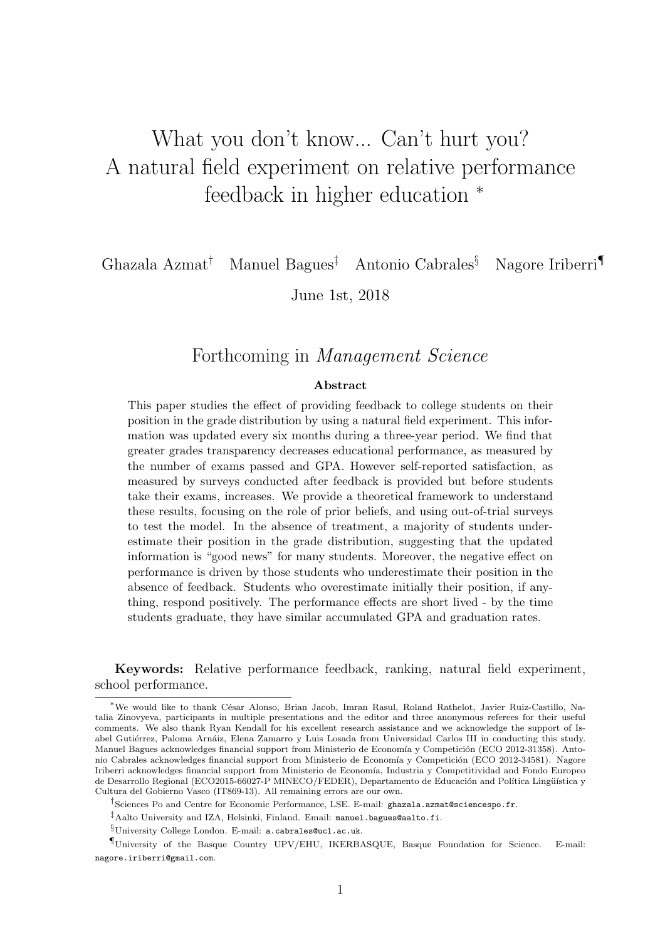# What you don't know... Can't hurt you? A natural field experiment on relative performance feedback in higher education  $*$

Ghazala Azmat† Manuel Bagues‡ Antonio Cabrales§ Nagore Iriberri¶

June 1st, 2018

## Forthcoming in Management Science

### Abstract

This paper studies the effect of providing feedback to college students on their position in the grade distribution by using a natural field experiment. This information was updated every six months during a three-year period. We find that greater grades transparency decreases educational performance, as measured by the number of exams passed and GPA. However self-reported satisfaction, as measured by surveys conducted after feedback is provided but before students take their exams, increases. We provide a theoretical framework to understand these results, focusing on the role of prior beliefs, and using out-of-trial surveys to test the model. In the absence of treatment, a majority of students underestimate their position in the grade distribution, suggesting that the updated information is "good news" for many students. Moreover, the negative effect on performance is driven by those students who underestimate their position in the absence of feedback. Students who overestimate initially their position, if anything, respond positively. The performance effects are short lived - by the time students graduate, they have similar accumulated GPA and graduation rates.

Keywords: Relative performance feedback, ranking, natural field experiment, school performance.

<sup>∗</sup>We would like to thank C´esar Alonso, Brian Jacob, Imran Rasul, Roland Rathelot, Javier Ruiz-Castillo, Natalia Zinovyeva, participants in multiple presentations and the editor and three anonymous referees for their useful comments. We also thank Ryan Kendall for his excellent research assistance and we acknowledge the support of Isabel Gutiérrez, Paloma Arnáiz, Elena Zamarro y Luis Losada from Universidad Carlos III in conducting this study. Manuel Bagues acknowledges financial support from Ministerio de Economía y Competición (ECO 2012-31358). Antonio Cabrales acknowledges financial support from Ministerio de Economía y Competición (ECO 2012-34581). Nagore Iriberri acknowledges financial support from Ministerio de Economía, Industria y Competitividad and Fondo Europeo de Desarrollo Regional (ECO2015-66027-P MINECO/FEDER), Departamento de Educación and Política Lingüística y Cultura del Gobierno Vasco (IT869-13). All remaining errors are our own.

<sup>&</sup>lt;sup>†</sup>Sciences Po and Centre for Economic Performance, LSE. E-mail: ghazala.azmat@sciencespo.fr.

<sup>‡</sup>Aalto University and IZA, Helsinki, Finland. Email: manuel.bagues@aalto.fi.

<sup>§</sup>University College London. E-mail: a.cabrales@ucl.ac.uk.

<sup>¶</sup>University of the Basque Country UPV/EHU, IKERBASQUE, Basque Foundation for Science. E-mail: nagore.iriberri@gmail.com.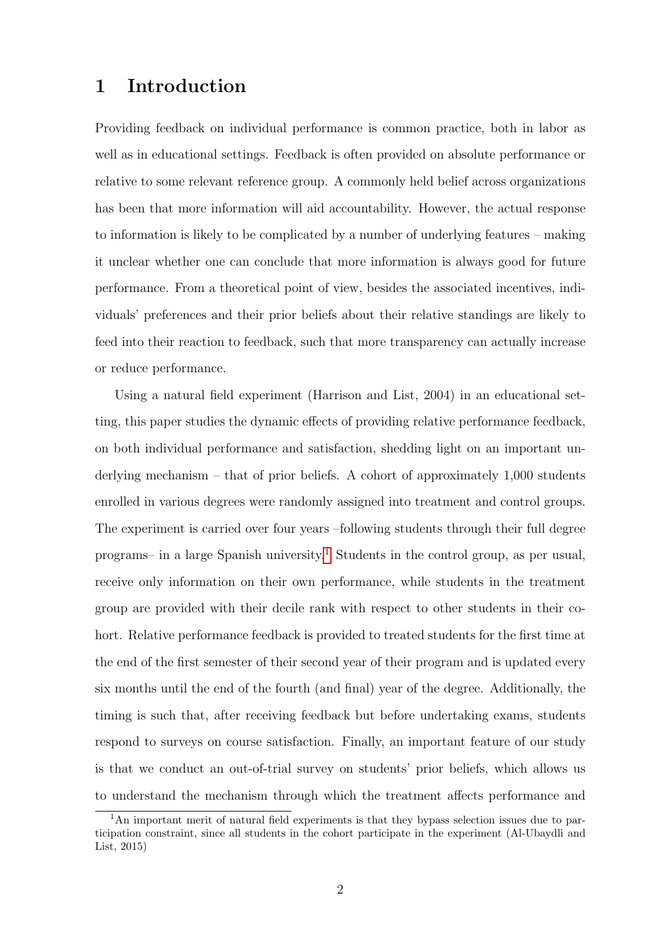# 1 Introduction

Providing feedback on individual performance is common practice, both in labor as well as in educational settings. Feedback is often provided on absolute performance or relative to some relevant reference group. A commonly held belief across organizations has been that more information will aid accountability. However, the actual response to information is likely to be complicated by a number of underlying features – making it unclear whether one can conclude that more information is always good for future performance. From a theoretical point of view, besides the associated incentives, individuals' preferences and their prior beliefs about their relative standings are likely to feed into their reaction to feedback, such that more transparency can actually increase or reduce performance.

Using a natural field experiment (Harrison and List, 2004) in an educational setting, this paper studies the dynamic effects of providing relative performance feedback, on both individual performance and satisfaction, shedding light on an important underlying mechanism – that of prior beliefs. A cohort of approximately 1,000 students enrolled in various degrees were randomly assigned into treatment and control groups. The experiment is carried over four years –following students through their full degree programs– in a large Spanish university.<sup>[1](#page-1-0)</sup> Students in the control group, as per usual, receive only information on their own performance, while students in the treatment group are provided with their decile rank with respect to other students in their cohort. Relative performance feedback is provided to treated students for the first time at the end of the first semester of their second year of their program and is updated every six months until the end of the fourth (and final) year of the degree. Additionally, the timing is such that, after receiving feedback but before undertaking exams, students respond to surveys on course satisfaction. Finally, an important feature of our study is that we conduct an out-of-trial survey on students' prior beliefs, which allows us to understand the mechanism through which the treatment affects performance and

<span id="page-1-0"></span><sup>&</sup>lt;sup>1</sup>An important merit of natural field experiments is that they bypass selection issues due to participation constraint, since all students in the cohort participate in the experiment (Al-Ubaydli and List, 2015)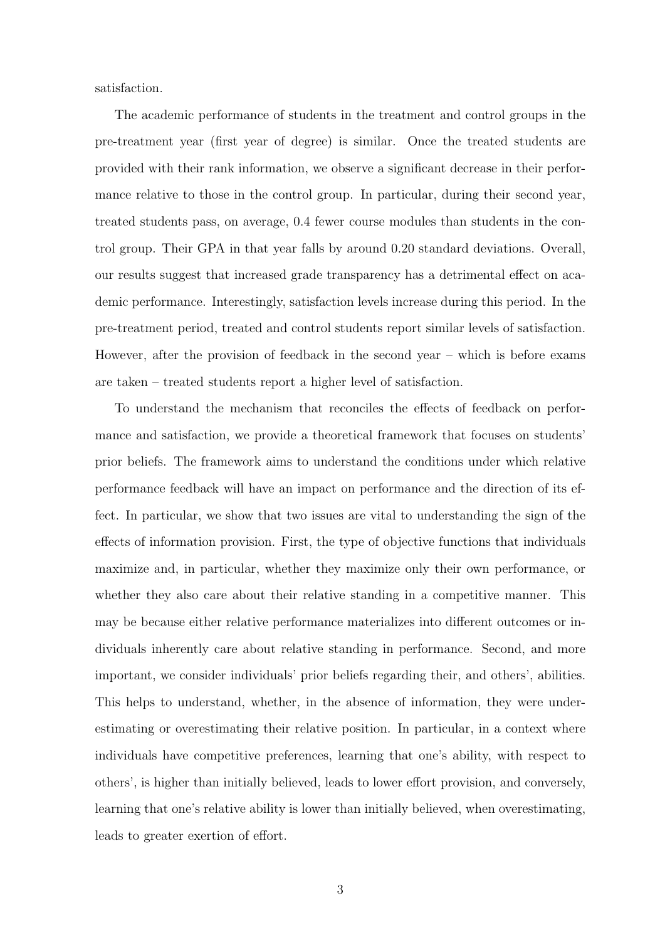satisfaction.

The academic performance of students in the treatment and control groups in the pre-treatment year (first year of degree) is similar. Once the treated students are provided with their rank information, we observe a significant decrease in their performance relative to those in the control group. In particular, during their second year, treated students pass, on average, 0.4 fewer course modules than students in the control group. Their GPA in that year falls by around 0.20 standard deviations. Overall, our results suggest that increased grade transparency has a detrimental effect on academic performance. Interestingly, satisfaction levels increase during this period. In the pre-treatment period, treated and control students report similar levels of satisfaction. However, after the provision of feedback in the second year – which is before exams are taken – treated students report a higher level of satisfaction.

To understand the mechanism that reconciles the effects of feedback on performance and satisfaction, we provide a theoretical framework that focuses on students' prior beliefs. The framework aims to understand the conditions under which relative performance feedback will have an impact on performance and the direction of its effect. In particular, we show that two issues are vital to understanding the sign of the effects of information provision. First, the type of objective functions that individuals maximize and, in particular, whether they maximize only their own performance, or whether they also care about their relative standing in a competitive manner. This may be because either relative performance materializes into different outcomes or individuals inherently care about relative standing in performance. Second, and more important, we consider individuals' prior beliefs regarding their, and others', abilities. This helps to understand, whether, in the absence of information, they were underestimating or overestimating their relative position. In particular, in a context where individuals have competitive preferences, learning that one's ability, with respect to others', is higher than initially believed, leads to lower effort provision, and conversely, learning that one's relative ability is lower than initially believed, when overestimating, leads to greater exertion of effort.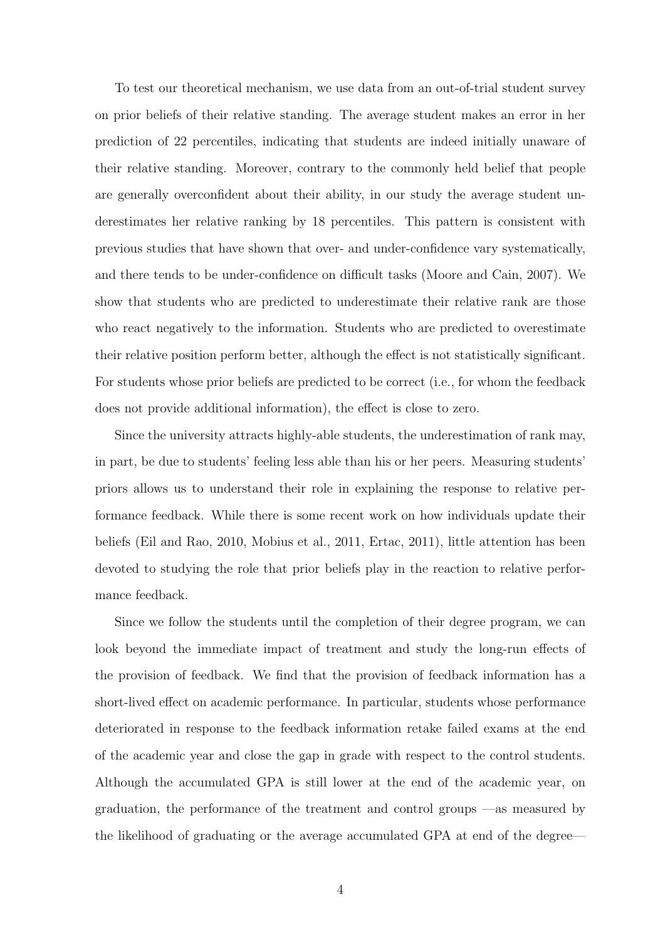To test our theoretical mechanism, we use data from an out-of-trial student survey on prior beliefs of their relative standing. The average student makes an error in her prediction of 22 percentiles, indicating that students are indeed initially unaware of their relative standing. Moreover, contrary to the commonly held belief that people are generally overconfident about their ability, in our study the average student underestimates her relative ranking by 18 percentiles. This pattern is consistent with previous studies that have shown that over- and under-confidence vary systematically, and there tends to be under-confidence on difficult tasks (Moore and Cain, 2007). We show that students who are predicted to underestimate their relative rank are those who react negatively to the information. Students who are predicted to overestimate their relative position perform better, although the effect is not statistically significant. For students whose prior beliefs are predicted to be correct (i.e., for whom the feedback does not provide additional information), the effect is close to zero.

Since the university attracts highly-able students, the underestimation of rank may, in part, be due to students' feeling less able than his or her peers. Measuring students' priors allows us to understand their role in explaining the response to relative performance feedback. While there is some recent work on how individuals update their beliefs (Eil and Rao, 2010, Mobius et al., 2011, Ertac, 2011), little attention has been devoted to studying the role that prior beliefs play in the reaction to relative performance feedback.

Since we follow the students until the completion of their degree program, we can look beyond the immediate impact of treatment and study the long-run effects of the provision of feedback. We find that the provision of feedback information has a short-lived effect on academic performance. In particular, students whose performance deteriorated in response to the feedback information retake failed exams at the end of the academic year and close the gap in grade with respect to the control students. Although the accumulated GPA is still lower at the end of the academic year, on graduation, the performance of the treatment and control groups —as measured by the likelihood of graduating or the average accumulated GPA at end of the degree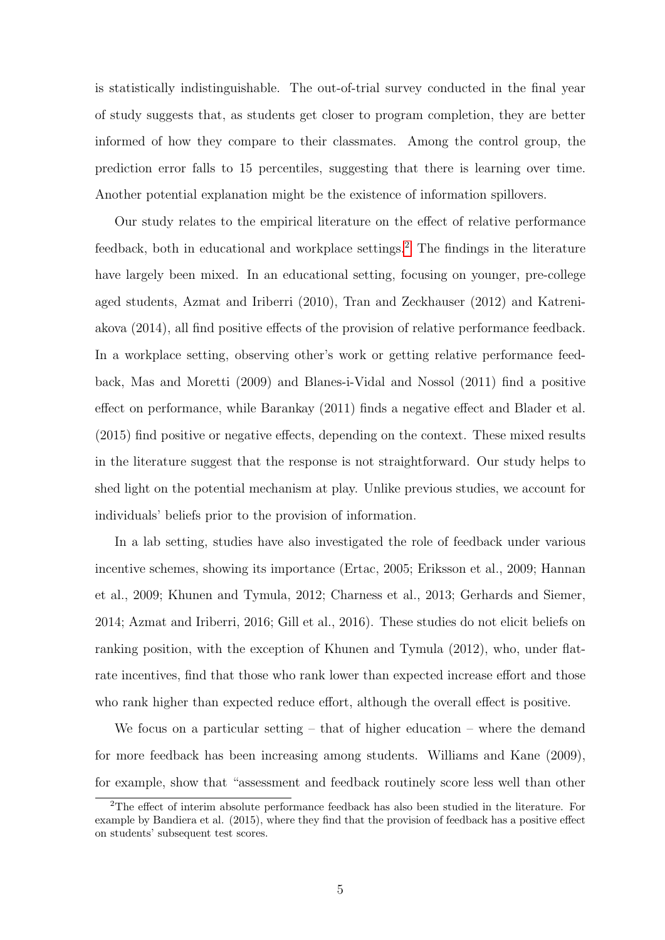is statistically indistinguishable. The out-of-trial survey conducted in the final year of study suggests that, as students get closer to program completion, they are better informed of how they compare to their classmates. Among the control group, the prediction error falls to 15 percentiles, suggesting that there is learning over time. Another potential explanation might be the existence of information spillovers.

Our study relates to the empirical literature on the effect of relative performance feedback, both in educational and workplace settings.<sup>[2](#page-4-0)</sup> The findings in the literature have largely been mixed. In an educational setting, focusing on younger, pre-college aged students, Azmat and Iriberri (2010), Tran and Zeckhauser (2012) and Katreniakova (2014), all find positive effects of the provision of relative performance feedback. In a workplace setting, observing other's work or getting relative performance feedback, Mas and Moretti (2009) and Blanes-i-Vidal and Nossol (2011) find a positive effect on performance, while Barankay (2011) finds a negative effect and Blader et al. (2015) find positive or negative effects, depending on the context. These mixed results in the literature suggest that the response is not straightforward. Our study helps to shed light on the potential mechanism at play. Unlike previous studies, we account for individuals' beliefs prior to the provision of information.

In a lab setting, studies have also investigated the role of feedback under various incentive schemes, showing its importance (Ertac, 2005; Eriksson et al., 2009; Hannan et al., 2009; Khunen and Tymula, 2012; Charness et al., 2013; Gerhards and Siemer, 2014; Azmat and Iriberri, 2016; Gill et al., 2016). These studies do not elicit beliefs on ranking position, with the exception of Khunen and Tymula (2012), who, under flatrate incentives, find that those who rank lower than expected increase effort and those who rank higher than expected reduce effort, although the overall effect is positive.

We focus on a particular setting – that of higher education – where the demand for more feedback has been increasing among students. Williams and Kane (2009), for example, show that "assessment and feedback routinely score less well than other

<span id="page-4-0"></span><sup>&</sup>lt;sup>2</sup>The effect of interim absolute performance feedback has also been studied in the literature. For example by Bandiera et al. (2015), where they find that the provision of feedback has a positive effect on students' subsequent test scores.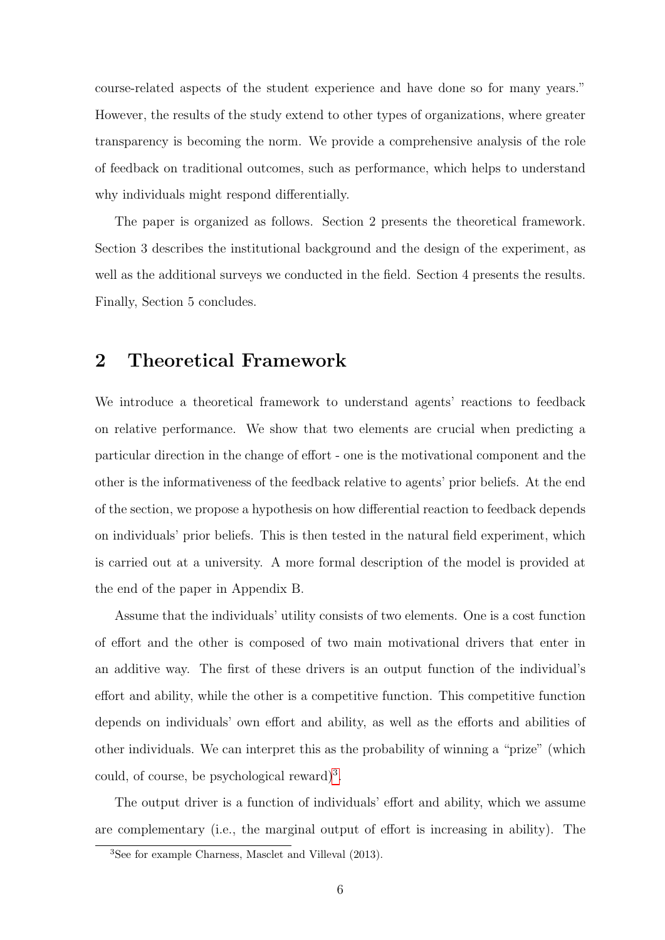course-related aspects of the student experience and have done so for many years." However, the results of the study extend to other types of organizations, where greater transparency is becoming the norm. We provide a comprehensive analysis of the role of feedback on traditional outcomes, such as performance, which helps to understand why individuals might respond differentially.

The paper is organized as follows. Section 2 presents the theoretical framework. Section 3 describes the institutional background and the design of the experiment, as well as the additional surveys we conducted in the field. Section 4 presents the results. Finally, Section 5 concludes.

# <span id="page-5-1"></span>2 Theoretical Framework

We introduce a theoretical framework to understand agents' reactions to feedback on relative performance. We show that two elements are crucial when predicting a particular direction in the change of effort - one is the motivational component and the other is the informativeness of the feedback relative to agents' prior beliefs. At the end of the section, we propose a hypothesis on how differential reaction to feedback depends on individuals' prior beliefs. This is then tested in the natural field experiment, which is carried out at a university. A more formal description of the model is provided at the end of the paper in Appendix B.

Assume that the individuals' utility consists of two elements. One is a cost function of effort and the other is composed of two main motivational drivers that enter in an additive way. The first of these drivers is an output function of the individual's effort and ability, while the other is a competitive function. This competitive function depends on individuals' own effort and ability, as well as the efforts and abilities of other individuals. We can interpret this as the probability of winning a "prize" (which could, of course, be psychological reward)<sup>[3](#page-5-0)</sup>.

The output driver is a function of individuals' effort and ability, which we assume are complementary (i.e., the marginal output of effort is increasing in ability). The

<span id="page-5-0"></span><sup>3</sup>See for example Charness, Masclet and Villeval (2013).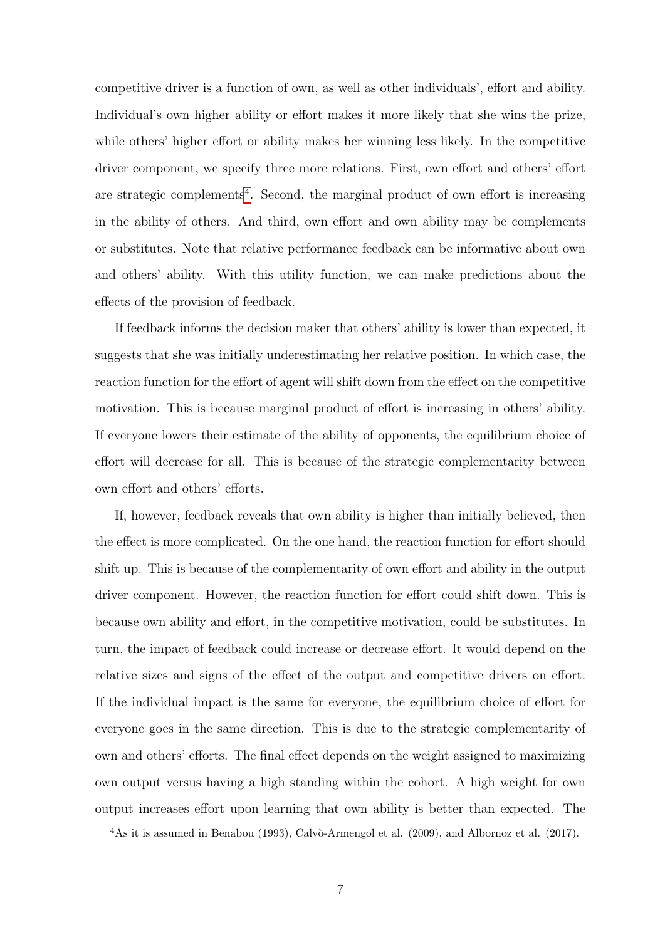competitive driver is a function of own, as well as other individuals', effort and ability. Individual's own higher ability or effort makes it more likely that she wins the prize, while others' higher effort or ability makes her winning less likely. In the competitive driver component, we specify three more relations. First, own effort and others' effort are strategic complements<sup>[4](#page-6-0)</sup>. Second, the marginal product of own effort is increasing in the ability of others. And third, own effort and own ability may be complements or substitutes. Note that relative performance feedback can be informative about own and others' ability. With this utility function, we can make predictions about the effects of the provision of feedback.

If feedback informs the decision maker that others' ability is lower than expected, it suggests that she was initially underestimating her relative position. In which case, the reaction function for the effort of agent will shift down from the effect on the competitive motivation. This is because marginal product of effort is increasing in others' ability. If everyone lowers their estimate of the ability of opponents, the equilibrium choice of effort will decrease for all. This is because of the strategic complementarity between own effort and others' efforts.

If, however, feedback reveals that own ability is higher than initially believed, then the effect is more complicated. On the one hand, the reaction function for effort should shift up. This is because of the complementarity of own effort and ability in the output driver component. However, the reaction function for effort could shift down. This is because own ability and effort, in the competitive motivation, could be substitutes. In turn, the impact of feedback could increase or decrease effort. It would depend on the relative sizes and signs of the effect of the output and competitive drivers on effort. If the individual impact is the same for everyone, the equilibrium choice of effort for everyone goes in the same direction. This is due to the strategic complementarity of own and others' efforts. The final effect depends on the weight assigned to maximizing own output versus having a high standing within the cohort. A high weight for own output increases effort upon learning that own ability is better than expected. The

<span id="page-6-0"></span> $4\text{As it is assumed in Benabou (1993), Calvò-Armengol et al. (2009), and Albornoz et al. (2017).}$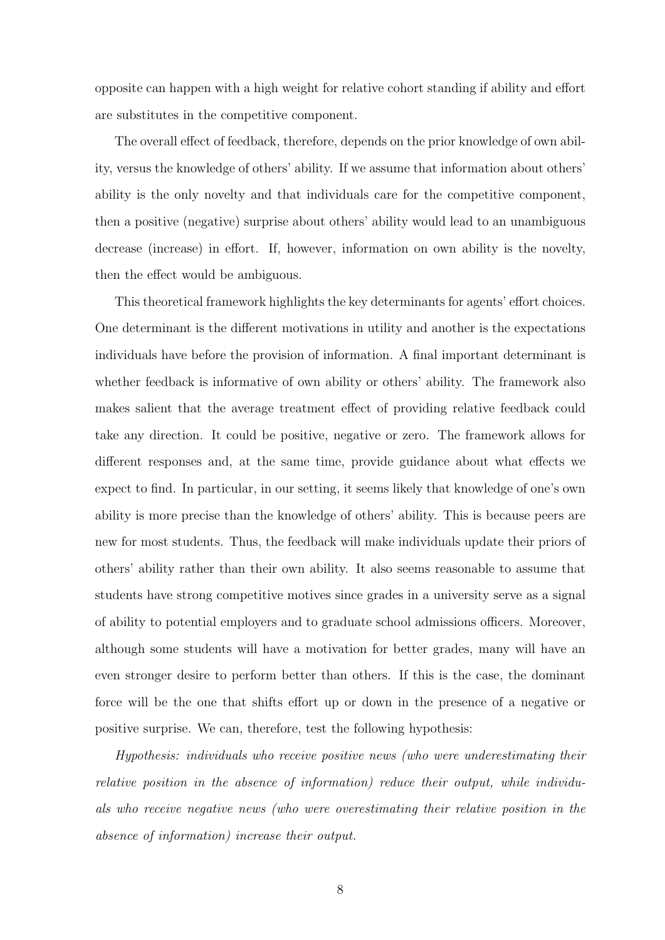opposite can happen with a high weight for relative cohort standing if ability and effort are substitutes in the competitive component.

The overall effect of feedback, therefore, depends on the prior knowledge of own ability, versus the knowledge of others' ability. If we assume that information about others' ability is the only novelty and that individuals care for the competitive component, then a positive (negative) surprise about others' ability would lead to an unambiguous decrease (increase) in effort. If, however, information on own ability is the novelty, then the effect would be ambiguous.

This theoretical framework highlights the key determinants for agents' effort choices. One determinant is the different motivations in utility and another is the expectations individuals have before the provision of information. A final important determinant is whether feedback is informative of own ability or others' ability. The framework also makes salient that the average treatment effect of providing relative feedback could take any direction. It could be positive, negative or zero. The framework allows for different responses and, at the same time, provide guidance about what effects we expect to find. In particular, in our setting, it seems likely that knowledge of one's own ability is more precise than the knowledge of others' ability. This is because peers are new for most students. Thus, the feedback will make individuals update their priors of others' ability rather than their own ability. It also seems reasonable to assume that students have strong competitive motives since grades in a university serve as a signal of ability to potential employers and to graduate school admissions officers. Moreover, although some students will have a motivation for better grades, many will have an even stronger desire to perform better than others. If this is the case, the dominant force will be the one that shifts effort up or down in the presence of a negative or positive surprise. We can, therefore, test the following hypothesis:

Hypothesis: individuals who receive positive news (who were underestimating their relative position in the absence of information) reduce their output, while individuals who receive negative news (who were overestimating their relative position in the absence of information) increase their output.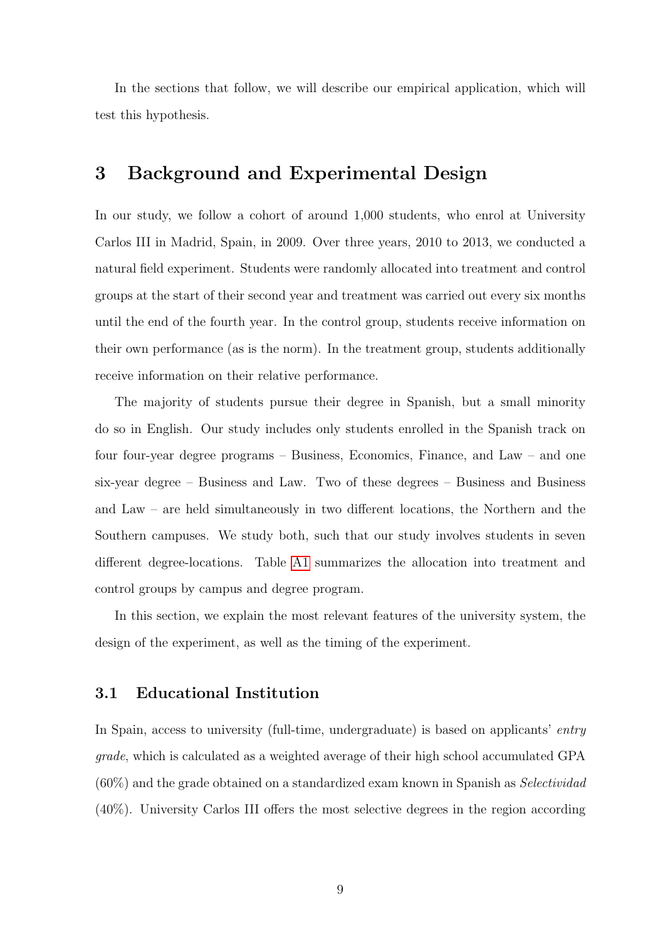In the sections that follow, we will describe our empirical application, which will test this hypothesis.

# 3 Background and Experimental Design

In our study, we follow a cohort of around 1,000 students, who enrol at University Carlos III in Madrid, Spain, in 2009. Over three years, 2010 to 2013, we conducted a natural field experiment. Students were randomly allocated into treatment and control groups at the start of their second year and treatment was carried out every six months until the end of the fourth year. In the control group, students receive information on their own performance (as is the norm). In the treatment group, students additionally receive information on their relative performance.

The majority of students pursue their degree in Spanish, but a small minority do so in English. Our study includes only students enrolled in the Spanish track on four four-year degree programs – Business, Economics, Finance, and Law – and one six-year degree – Business and Law. Two of these degrees – Business and Business and Law – are held simultaneously in two different locations, the Northern and the Southern campuses. We study both, such that our study involves students in seven different degree-locations. Table [A1](#page-53-0) summarizes the allocation into treatment and control groups by campus and degree program.

In this section, we explain the most relevant features of the university system, the design of the experiment, as well as the timing of the experiment.

## 3.1 Educational Institution

In Spain, access to university (full-time, undergraduate) is based on applicants' entry grade, which is calculated as a weighted average of their high school accumulated GPA  $(60\%)$  and the grade obtained on a standardized exam known in Spanish as *Selectividad* (40%). University Carlos III offers the most selective degrees in the region according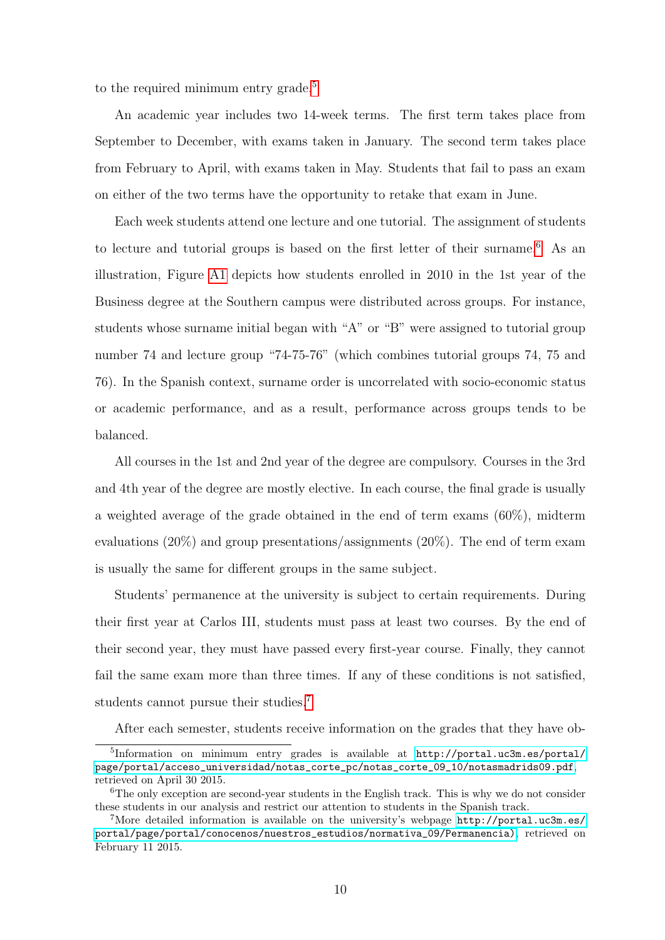to the required minimum entry grade.<sup>[5](#page-9-0)</sup>

An academic year includes two 14-week terms. The first term takes place from September to December, with exams taken in January. The second term takes place from February to April, with exams taken in May. Students that fail to pass an exam on either of the two terms have the opportunity to retake that exam in June.

Each week students attend one lecture and one tutorial. The assignment of students to lecture and tutorial groups is based on the first letter of their surname.<sup>[6](#page-9-1)</sup> As an illustration, Figure [A1](#page-45-0) depicts how students enrolled in 2010 in the 1st year of the Business degree at the Southern campus were distributed across groups. For instance, students whose surname initial began with "A" or "B" were assigned to tutorial group number 74 and lecture group "74-75-76" (which combines tutorial groups 74, 75 and 76). In the Spanish context, surname order is uncorrelated with socio-economic status or academic performance, and as a result, performance across groups tends to be balanced.

All courses in the 1st and 2nd year of the degree are compulsory. Courses in the 3rd and 4th year of the degree are mostly elective. In each course, the final grade is usually a weighted average of the grade obtained in the end of term exams (60%), midterm evaluations (20%) and group presentations/assignments (20%). The end of term exam is usually the same for different groups in the same subject.

Students' permanence at the university is subject to certain requirements. During their first year at Carlos III, students must pass at least two courses. By the end of their second year, they must have passed every first-year course. Finally, they cannot fail the same exam more than three times. If any of these conditions is not satisfied, students cannot pursue their studies.<sup>[7](#page-9-2)</sup>

<span id="page-9-0"></span>After each semester, students receive information on the grades that they have ob-

<sup>5</sup> Information on minimum entry grades is available at [http://portal.uc3m.es/portal/](http://portal.uc3m.es/portal/page/portal/acceso_universidad/notas_corte_pc/notas_corte_09_10/notasmadrids09.pdf) [page/portal/acceso\\_universidad/notas\\_corte\\_pc/notas\\_corte\\_09\\_10/notasmadrids09.pdf](http://portal.uc3m.es/portal/page/portal/acceso_universidad/notas_corte_pc/notas_corte_09_10/notasmadrids09.pdf), retrieved on April 30 2015.

<span id="page-9-1"></span> $6$ The only exception are second-year students in the English track. This is why we do not consider these students in our analysis and restrict our attention to students in the Spanish track.

<span id="page-9-2"></span><sup>7</sup>More detailed information is available on the university's webpage [http://portal.uc3m.es/](http://portal.uc3m.es/portal/page/portal/conocenos/nuestros_estudios/normativa_09/Permanencia)) [portal/page/portal/conocenos/nuestros\\_estudios/normativa\\_09/Permanencia\)](http://portal.uc3m.es/portal/page/portal/conocenos/nuestros_estudios/normativa_09/Permanencia)), retrieved on February 11 2015.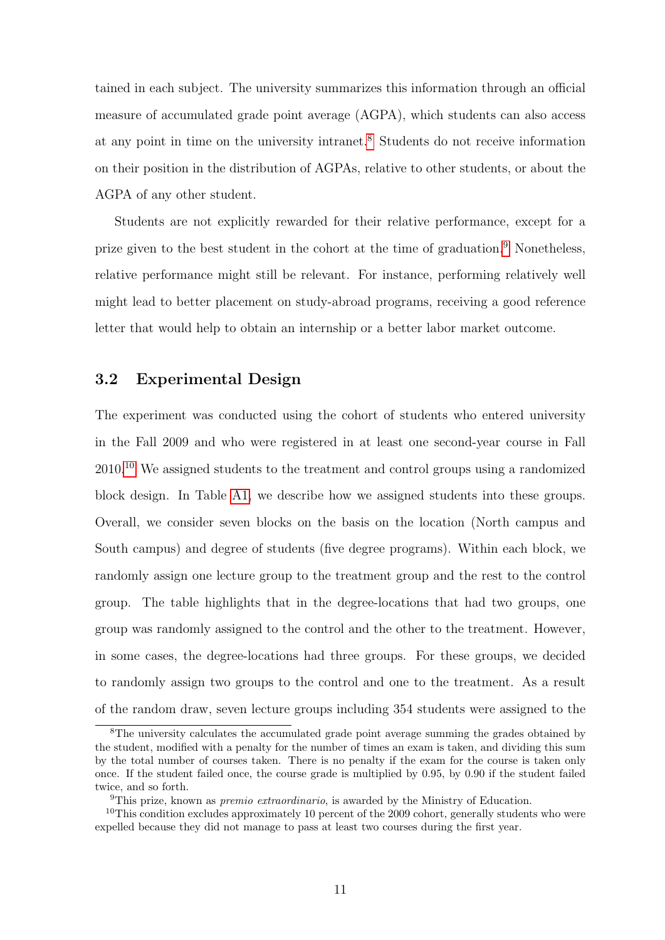tained in each subject. The university summarizes this information through an official measure of accumulated grade point average (AGPA), which students can also access at any point in time on the university intranet.[8](#page-10-0) Students do not receive information on their position in the distribution of AGPAs, relative to other students, or about the AGPA of any other student.

Students are not explicitly rewarded for their relative performance, except for a prize given to the best student in the cohort at the time of graduation.<sup>[9](#page-10-1)</sup> Nonetheless, relative performance might still be relevant. For instance, performing relatively well might lead to better placement on study-abroad programs, receiving a good reference letter that would help to obtain an internship or a better labor market outcome.

## 3.2 Experimental Design

The experiment was conducted using the cohort of students who entered university in the Fall 2009 and who were registered in at least one second-year course in Fall 2010.[10](#page-10-2) We assigned students to the treatment and control groups using a randomized block design. In Table [A1,](#page-53-0) we describe how we assigned students into these groups. Overall, we consider seven blocks on the basis on the location (North campus and South campus) and degree of students (five degree programs). Within each block, we randomly assign one lecture group to the treatment group and the rest to the control group. The table highlights that in the degree-locations that had two groups, one group was randomly assigned to the control and the other to the treatment. However, in some cases, the degree-locations had three groups. For these groups, we decided to randomly assign two groups to the control and one to the treatment. As a result of the random draw, seven lecture groups including 354 students were assigned to the

<span id="page-10-0"></span><sup>&</sup>lt;sup>8</sup>The university calculates the accumulated grade point average summing the grades obtained by the student, modified with a penalty for the number of times an exam is taken, and dividing this sum by the total number of courses taken. There is no penalty if the exam for the course is taken only once. If the student failed once, the course grade is multiplied by 0.95, by 0.90 if the student failed twice, and so forth.

<span id="page-10-2"></span><span id="page-10-1"></span><sup>&</sup>lt;sup>9</sup>This prize, known as *premio extraordinario*, is awarded by the Ministry of Education.

<sup>&</sup>lt;sup>10</sup>This condition excludes approximately 10 percent of the 2009 cohort, generally students who were expelled because they did not manage to pass at least two courses during the first year.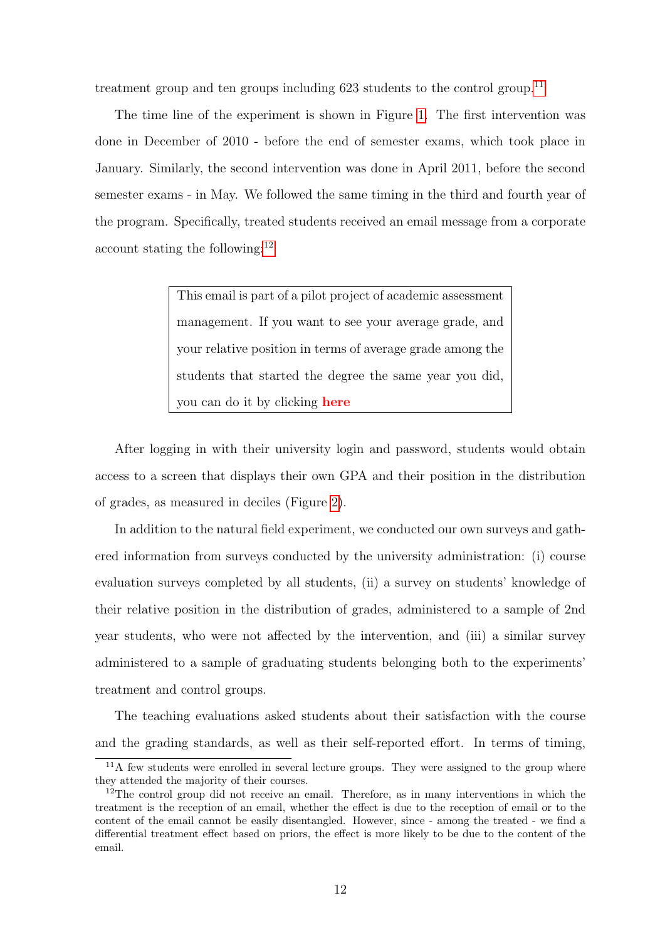treatment group and ten groups including  $623$  students to the control group.<sup>[11](#page-11-0)</sup>

The time line of the experiment is shown in Figure [1.](#page-35-0) The first intervention was done in December of 2010 - before the end of semester exams, which took place in January. Similarly, the second intervention was done in April 2011, before the second semester exams - in May. We followed the same timing in the third and fourth year of the program. Specifically, treated students received an email message from a corporate account stating the following: $^{12}$  $^{12}$  $^{12}$ 

> This email is part of a pilot project of academic assessment management. If you want to see your average grade, and your relative position in terms of average grade among the students that started the degree the same year you did, you can do it by clicking here

After logging in with their university login and password, students would obtain access to a screen that displays their own GPA and their position in the distribution of grades, as measured in deciles (Figure [2\)](#page-36-0).

In addition to the natural field experiment, we conducted our own surveys and gathered information from surveys conducted by the university administration: (i) course evaluation surveys completed by all students, (ii) a survey on students' knowledge of their relative position in the distribution of grades, administered to a sample of 2nd year students, who were not affected by the intervention, and (iii) a similar survey administered to a sample of graduating students belonging both to the experiments' treatment and control groups.

The teaching evaluations asked students about their satisfaction with the course and the grading standards, as well as their self-reported effort. In terms of timing,

<span id="page-11-0"></span> $11$ A few students were enrolled in several lecture groups. They were assigned to the group where they attended the majority of their courses.

<span id="page-11-1"></span> $12$ The control group did not receive an email. Therefore, as in many interventions in which the treatment is the reception of an email, whether the effect is due to the reception of email or to the content of the email cannot be easily disentangled. However, since - among the treated - we find a differential treatment effect based on priors, the effect is more likely to be due to the content of the email.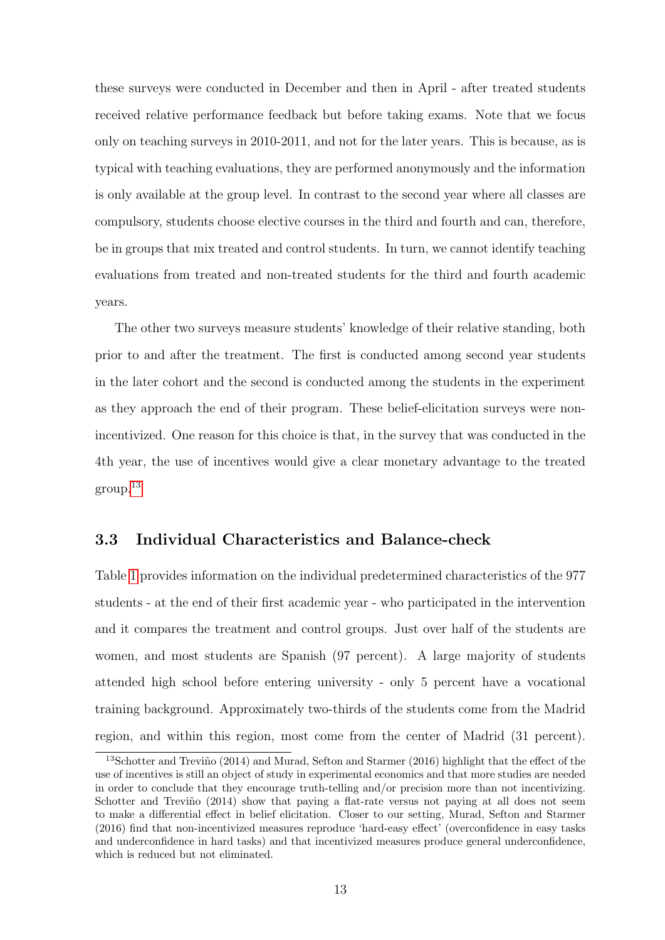these surveys were conducted in December and then in April - after treated students received relative performance feedback but before taking exams. Note that we focus only on teaching surveys in 2010-2011, and not for the later years. This is because, as is typical with teaching evaluations, they are performed anonymously and the information is only available at the group level. In contrast to the second year where all classes are compulsory, students choose elective courses in the third and fourth and can, therefore, be in groups that mix treated and control students. In turn, we cannot identify teaching evaluations from treated and non-treated students for the third and fourth academic years.

The other two surveys measure students' knowledge of their relative standing, both prior to and after the treatment. The first is conducted among second year students in the later cohort and the second is conducted among the students in the experiment as they approach the end of their program. These belief-elicitation surveys were nonincentivized. One reason for this choice is that, in the survey that was conducted in the 4th year, the use of incentives would give a clear monetary advantage to the treated group.[13](#page-12-0)

## <span id="page-12-1"></span>3.3 Individual Characteristics and Balance-check

Table [1](#page-41-0) provides information on the individual predetermined characteristics of the 977 students - at the end of their first academic year - who participated in the intervention and it compares the treatment and control groups. Just over half of the students are women, and most students are Spanish (97 percent). A large majority of students attended high school before entering university - only 5 percent have a vocational training background. Approximately two-thirds of the students come from the Madrid region, and within this region, most come from the center of Madrid (31 percent).

<span id="page-12-0"></span><sup>&</sup>lt;sup>13</sup>Schotter and Treviño (2014) and Murad, Sefton and Starmer (2016) highlight that the effect of the use of incentives is still an object of study in experimental economics and that more studies are needed in order to conclude that they encourage truth-telling and/or precision more than not incentivizing. Schotter and Treviño  $(2014)$  show that paying a flat-rate versus not paying at all does not seem to make a differential effect in belief elicitation. Closer to our setting, Murad, Sefton and Starmer (2016) find that non-incentivized measures reproduce 'hard-easy effect' (overconfidence in easy tasks and underconfidence in hard tasks) and that incentivized measures produce general underconfidence, which is reduced but not eliminated.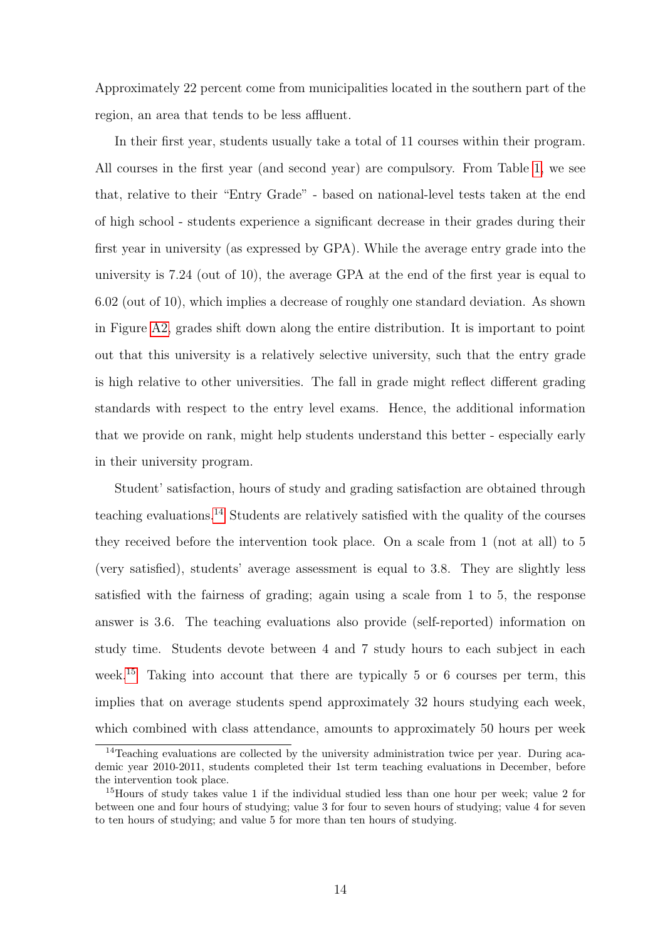Approximately 22 percent come from municipalities located in the southern part of the region, an area that tends to be less affluent.

In their first year, students usually take a total of 11 courses within their program. All courses in the first year (and second year) are compulsory. From Table [1,](#page-41-0) we see that, relative to their "Entry Grade" - based on national-level tests taken at the end of high school - students experience a significant decrease in their grades during their first year in university (as expressed by GPA). While the average entry grade into the university is 7.24 (out of 10), the average GPA at the end of the first year is equal to 6.02 (out of 10), which implies a decrease of roughly one standard deviation. As shown in Figure [A2,](#page-46-0) grades shift down along the entire distribution. It is important to point out that this university is a relatively selective university, such that the entry grade is high relative to other universities. The fall in grade might reflect different grading standards with respect to the entry level exams. Hence, the additional information that we provide on rank, might help students understand this better - especially early in their university program.

Student' satisfaction, hours of study and grading satisfaction are obtained through teaching evaluations.[14](#page-13-0) Students are relatively satisfied with the quality of the courses they received before the intervention took place. On a scale from 1 (not at all) to 5 (very satisfied), students' average assessment is equal to 3.8. They are slightly less satisfied with the fairness of grading; again using a scale from 1 to 5, the response answer is 3.6. The teaching evaluations also provide (self-reported) information on study time. Students devote between 4 and 7 study hours to each subject in each week.<sup>[15](#page-13-1)</sup> Taking into account that there are typically 5 or 6 courses per term, this implies that on average students spend approximately 32 hours studying each week, which combined with class attendance, amounts to approximately 50 hours per week

<span id="page-13-0"></span> $14$ Teaching evaluations are collected by the university administration twice per year. During academic year 2010-2011, students completed their 1st term teaching evaluations in December, before the intervention took place.

<span id="page-13-1"></span><sup>&</sup>lt;sup>15</sup>Hours of study takes value 1 if the individual studied less than one hour per week; value 2 for between one and four hours of studying; value 3 for four to seven hours of studying; value 4 for seven to ten hours of studying; and value 5 for more than ten hours of studying.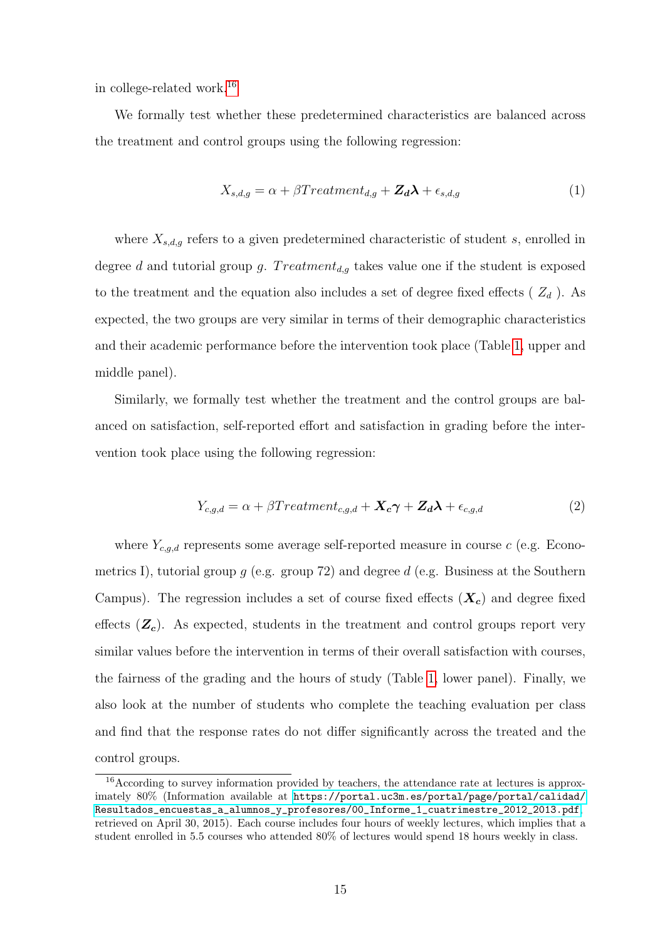in college-related work.[16](#page-14-0)

We formally test whether these predetermined characteristics are balanced across the treatment and control groups using the following regression:

$$
X_{s,d,g} = \alpha + \beta Treatment_{d,g} + \mathbf{Z}_d\boldsymbol{\lambda} + \epsilon_{s,d,g}
$$
\n<sup>(1)</sup>

where  $X_{s,d,g}$  refers to a given predetermined characteristic of student s, enrolled in degree d and tutorial group g.  $Treatment_{d,g}$  takes value one if the student is exposed to the treatment and the equation also includes a set of degree fixed effects ( $Z_d$ ). As expected, the two groups are very similar in terms of their demographic characteristics and their academic performance before the intervention took place (Table [1,](#page-41-0) upper and middle panel).

Similarly, we formally test whether the treatment and the control groups are balanced on satisfaction, self-reported effort and satisfaction in grading before the intervention took place using the following regression:

<span id="page-14-1"></span>
$$
Y_{c,g,d} = \alpha + \beta Treatment_{c,g,d} + \mathbf{X}_c \boldsymbol{\gamma} + \mathbf{Z}_d \boldsymbol{\lambda} + \epsilon_{c,g,d}
$$
 (2)

where  $Y_{c,q,d}$  represents some average self-reported measure in course c (e.g. Econometrics I), tutorial group  $q$  (e.g. group 72) and degree d (e.g. Business at the Southern Campus). The regression includes a set of course fixed effects  $(X_c)$  and degree fixed effects  $(\mathbf{Z}_c)$ . As expected, students in the treatment and control groups report very similar values before the intervention in terms of their overall satisfaction with courses, the fairness of the grading and the hours of study (Table [1,](#page-41-0) lower panel). Finally, we also look at the number of students who complete the teaching evaluation per class and find that the response rates do not differ significantly across the treated and the control groups.

<span id="page-14-0"></span><sup>16</sup>According to survey information provided by teachers, the attendance rate at lectures is approximately 80% (Information available at [https://portal.uc3m.es/portal/page/portal/calidad/](https://portal.uc3m.es/portal/page/portal/calidad/Resultados_encuestas_a_alumnos_y_profesores/00_Informe_1_cuatrimestre_2012_2013.pdf) [Resultados\\_encuestas\\_a\\_alumnos\\_y\\_profesores/00\\_Informe\\_1\\_cuatrimestre\\_2012\\_2013.pdf](https://portal.uc3m.es/portal/page/portal/calidad/Resultados_encuestas_a_alumnos_y_profesores/00_Informe_1_cuatrimestre_2012_2013.pdf), retrieved on April 30, 2015). Each course includes four hours of weekly lectures, which implies that a student enrolled in 5.5 courses who attended 80% of lectures would spend 18 hours weekly in class.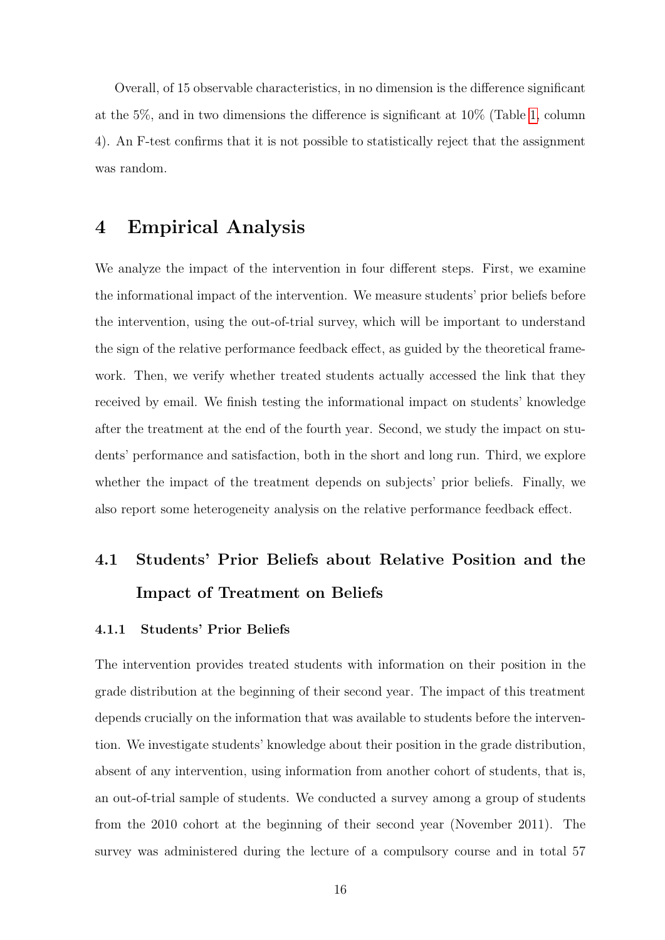Overall, of 15 observable characteristics, in no dimension is the difference significant at the 5%, and in two dimensions the difference is significant at 10% (Table [1,](#page-41-0) column 4). An F-test confirms that it is not possible to statistically reject that the assignment was random.

## 4 Empirical Analysis

We analyze the impact of the intervention in four different steps. First, we examine the informational impact of the intervention. We measure students' prior beliefs before the intervention, using the out-of-trial survey, which will be important to understand the sign of the relative performance feedback effect, as guided by the theoretical framework. Then, we verify whether treated students actually accessed the link that they received by email. We finish testing the informational impact on students' knowledge after the treatment at the end of the fourth year. Second, we study the impact on students' performance and satisfaction, both in the short and long run. Third, we explore whether the impact of the treatment depends on subjects' prior beliefs. Finally, we also report some heterogeneity analysis on the relative performance feedback effect.

# 4.1 Students' Prior Beliefs about Relative Position and the Impact of Treatment on Beliefs

## 4.1.1 Students' Prior Beliefs

The intervention provides treated students with information on their position in the grade distribution at the beginning of their second year. The impact of this treatment depends crucially on the information that was available to students before the intervention. We investigate students' knowledge about their position in the grade distribution, absent of any intervention, using information from another cohort of students, that is, an out-of-trial sample of students. We conducted a survey among a group of students from the 2010 cohort at the beginning of their second year (November 2011). The survey was administered during the lecture of a compulsory course and in total 57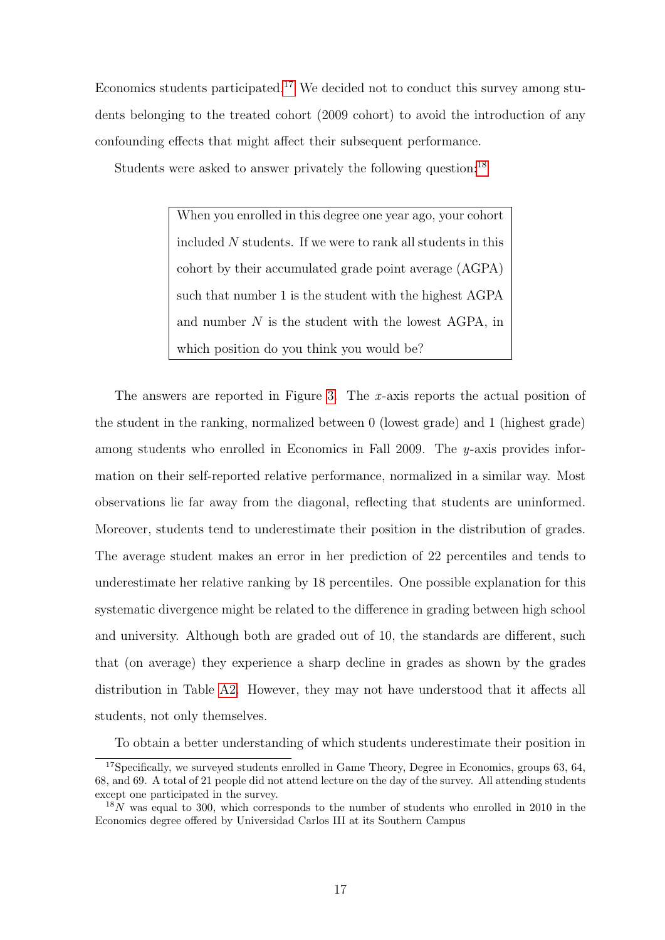Economics students participated.<sup>[17](#page-16-0)</sup> We decided not to conduct this survey among students belonging to the treated cohort (2009 cohort) to avoid the introduction of any confounding effects that might affect their subsequent performance.

Students were asked to answer privately the following question:<sup>[18](#page-16-1)</sup>

When you enrolled in this degree one year ago, your cohort included  $N$  students. If we were to rank all students in this cohort by their accumulated grade point average (AGPA) such that number 1 is the student with the highest AGPA and number  $N$  is the student with the lowest AGPA, in which position do you think you would be?

The answers are reported in Figure [3.](#page-37-0) The  $x$ -axis reports the actual position of the student in the ranking, normalized between 0 (lowest grade) and 1 (highest grade) among students who enrolled in Economics in Fall 2009. The  $y$ -axis provides information on their self-reported relative performance, normalized in a similar way. Most observations lie far away from the diagonal, reflecting that students are uninformed. Moreover, students tend to underestimate their position in the distribution of grades. The average student makes an error in her prediction of 22 percentiles and tends to underestimate her relative ranking by 18 percentiles. One possible explanation for this systematic divergence might be related to the difference in grading between high school and university. Although both are graded out of 10, the standards are different, such that (on average) they experience a sharp decline in grades as shown by the grades distribution in Table [A2.](#page-46-0) However, they may not have understood that it affects all students, not only themselves.

<span id="page-16-0"></span>To obtain a better understanding of which students underestimate their position in

<sup>&</sup>lt;sup>17</sup>Specifically, we surveyed students enrolled in Game Theory, Degree in Economics, groups 63, 64, 68, and 69. A total of 21 people did not attend lecture on the day of the survey. All attending students except one participated in the survey.

<span id="page-16-1"></span> $18N$  was equal to 300, which corresponds to the number of students who enrolled in 2010 in the Economics degree offered by Universidad Carlos III at its Southern Campus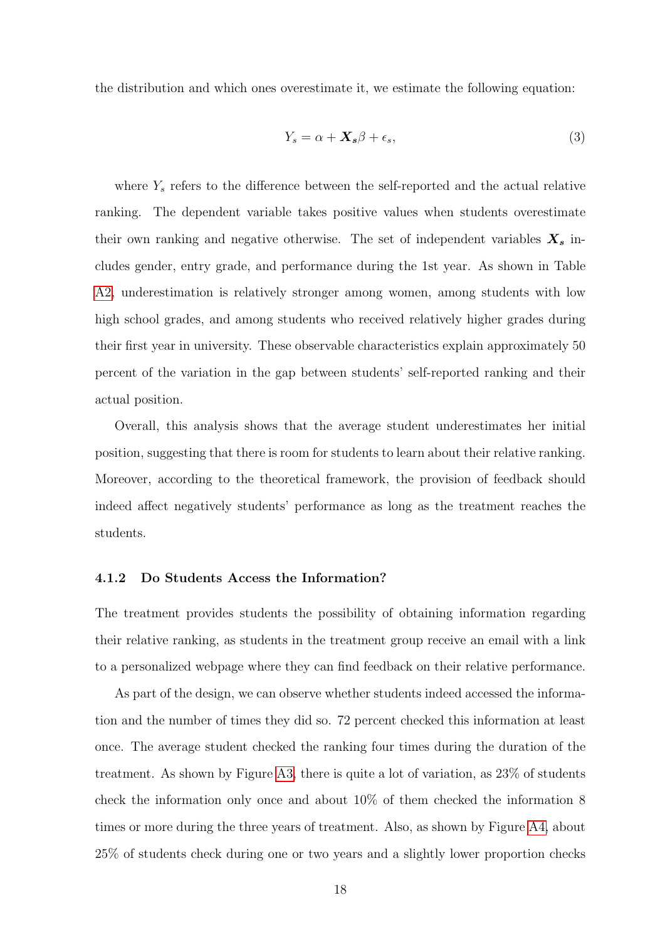the distribution and which ones overestimate it, we estimate the following equation:

$$
Y_s = \alpha + \mathbf{X}_s \beta + \epsilon_s,\tag{3}
$$

where  $Y_s$  refers to the difference between the self-reported and the actual relative ranking. The dependent variable takes positive values when students overestimate their own ranking and negative otherwise. The set of independent variables  $X_s$  includes gender, entry grade, and performance during the 1st year. As shown in Table [A2,](#page-53-1) underestimation is relatively stronger among women, among students with low high school grades, and among students who received relatively higher grades during their first year in university. These observable characteristics explain approximately 50 percent of the variation in the gap between students' self-reported ranking and their actual position.

Overall, this analysis shows that the average student underestimates her initial position, suggesting that there is room for students to learn about their relative ranking. Moreover, according to the theoretical framework, the provision of feedback should indeed affect negatively students' performance as long as the treatment reaches the students.

#### 4.1.2 Do Students Access the Information?

The treatment provides students the possibility of obtaining information regarding their relative ranking, as students in the treatment group receive an email with a link to a personalized webpage where they can find feedback on their relative performance.

As part of the design, we can observe whether students indeed accessed the information and the number of times they did so. 72 percent checked this information at least once. The average student checked the ranking four times during the duration of the treatment. As shown by Figure [A3,](#page-47-0) there is quite a lot of variation, as 23% of students check the information only once and about 10% of them checked the information 8 times or more during the three years of treatment. Also, as shown by Figure [A4,](#page-48-0) about 25% of students check during one or two years and a slightly lower proportion checks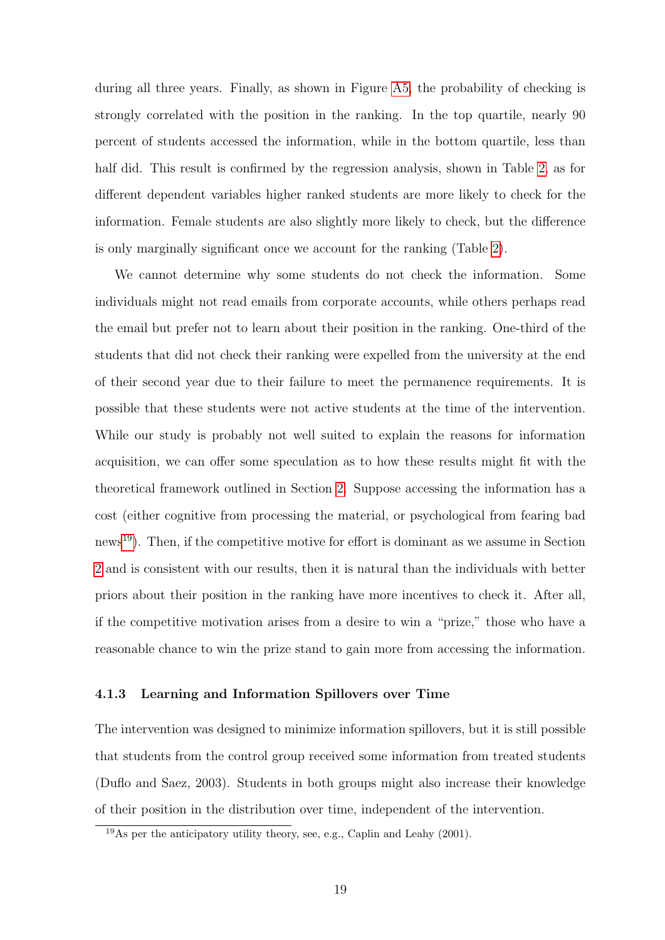during all three years. Finally, as shown in Figure [A5,](#page-49-0) the probability of checking is strongly correlated with the position in the ranking. In the top quartile, nearly 90 percent of students accessed the information, while in the bottom quartile, less than half did. This result is confirmed by the regression analysis, shown in Table [2,](#page-42-0) as for different dependent variables higher ranked students are more likely to check for the information. Female students are also slightly more likely to check, but the difference is only marginally significant once we account for the ranking (Table [2\)](#page-42-0).

We cannot determine why some students do not check the information. Some individuals might not read emails from corporate accounts, while others perhaps read the email but prefer not to learn about their position in the ranking. One-third of the students that did not check their ranking were expelled from the university at the end of their second year due to their failure to meet the permanence requirements. It is possible that these students were not active students at the time of the intervention. While our study is probably not well suited to explain the reasons for information acquisition, we can offer some speculation as to how these results might fit with the theoretical framework outlined in Section [2.](#page-5-1) Suppose accessing the information has a cost (either cognitive from processing the material, or psychological from fearing bad news[19](#page-18-0)). Then, if the competitive motive for effort is dominant as we assume in Section [2](#page-5-1) and is consistent with our results, then it is natural than the individuals with better priors about their position in the ranking have more incentives to check it. After all, if the competitive motivation arises from a desire to win a "prize," those who have a reasonable chance to win the prize stand to gain more from accessing the information.

### 4.1.3 Learning and Information Spillovers over Time

The intervention was designed to minimize information spillovers, but it is still possible that students from the control group received some information from treated students (Duflo and Saez, 2003). Students in both groups might also increase their knowledge of their position in the distribution over time, independent of the intervention.

<span id="page-18-0"></span><sup>19</sup>As per the anticipatory utility theory, see, e.g., Caplin and Leahy (2001).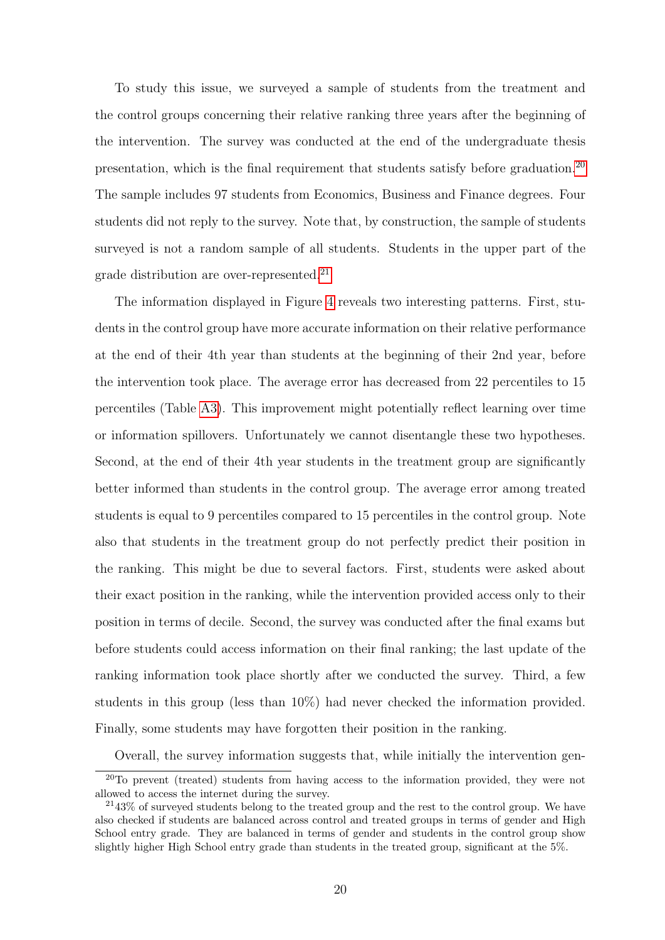To study this issue, we surveyed a sample of students from the treatment and the control groups concerning their relative ranking three years after the beginning of the intervention. The survey was conducted at the end of the undergraduate thesis presentation, which is the final requirement that students satisfy before graduation.[20](#page-19-0) The sample includes 97 students from Economics, Business and Finance degrees. Four students did not reply to the survey. Note that, by construction, the sample of students surveyed is not a random sample of all students. Students in the upper part of the grade distribution are over-represented.<sup>[21](#page-19-1)</sup>

The information displayed in Figure [4](#page-38-0) reveals two interesting patterns. First, students in the control group have more accurate information on their relative performance at the end of their 4th year than students at the beginning of their 2nd year, before the intervention took place. The average error has decreased from 22 percentiles to 15 percentiles (Table [A3\)](#page-54-0). This improvement might potentially reflect learning over time or information spillovers. Unfortunately we cannot disentangle these two hypotheses. Second, at the end of their 4th year students in the treatment group are significantly better informed than students in the control group. The average error among treated students is equal to 9 percentiles compared to 15 percentiles in the control group. Note also that students in the treatment group do not perfectly predict their position in the ranking. This might be due to several factors. First, students were asked about their exact position in the ranking, while the intervention provided access only to their position in terms of decile. Second, the survey was conducted after the final exams but before students could access information on their final ranking; the last update of the ranking information took place shortly after we conducted the survey. Third, a few students in this group (less than 10%) had never checked the information provided. Finally, some students may have forgotten their position in the ranking.

<span id="page-19-0"></span>Overall, the survey information suggests that, while initially the intervention gen-

 $^{20}$ To prevent (treated) students from having access to the information provided, they were not allowed to access the internet during the survey.

<span id="page-19-1"></span> $2143\%$  of surveyed students belong to the treated group and the rest to the control group. We have also checked if students are balanced across control and treated groups in terms of gender and High School entry grade. They are balanced in terms of gender and students in the control group show slightly higher High School entry grade than students in the treated group, significant at the 5%.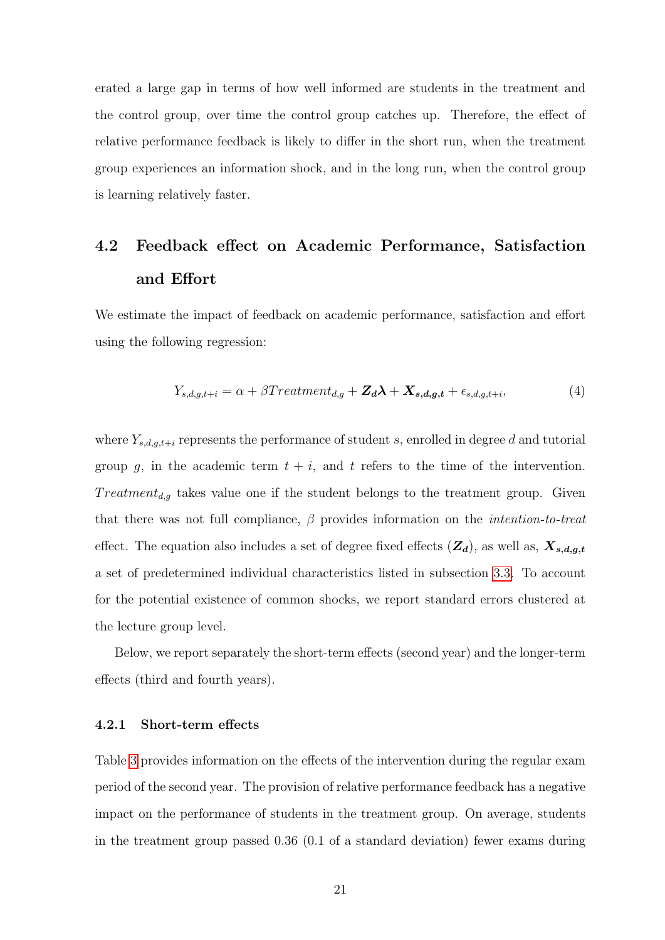erated a large gap in terms of how well informed are students in the treatment and the control group, over time the control group catches up. Therefore, the effect of relative performance feedback is likely to differ in the short run, when the treatment group experiences an information shock, and in the long run, when the control group is learning relatively faster.

# 4.2 Feedback effect on Academic Performance, Satisfaction and Effort

We estimate the impact of feedback on academic performance, satisfaction and effort using the following regression:

<span id="page-20-0"></span>
$$
Y_{s,d,g,t+i} = \alpha + \beta Treatment_{d,g} + \mathbf{Z}_d\boldsymbol{\lambda} + \mathbf{X}_{s,d,g,t} + \epsilon_{s,d,g,t+i},\tag{4}
$$

where  $Y_{s,d,g,t+i}$  represents the performance of student s, enrolled in degree d and tutorial group g, in the academic term  $t + i$ , and t refers to the time of the intervention.  $Treatment_{d,g}$  takes value one if the student belongs to the treatment group. Given that there was not full compliance,  $\beta$  provides information on the *intention-to-treat* effect. The equation also includes a set of degree fixed effects  $(Z_d)$ , as well as,  $X_{s,d,g,t}$ a set of predetermined individual characteristics listed in subsection [3.3.](#page-12-1) To account for the potential existence of common shocks, we report standard errors clustered at the lecture group level.

Below, we report separately the short-term effects (second year) and the longer-term effects (third and fourth years).

#### 4.2.1 Short-term effects

Table [3](#page-42-1) provides information on the effects of the intervention during the regular exam period of the second year. The provision of relative performance feedback has a negative impact on the performance of students in the treatment group. On average, students in the treatment group passed 0.36 (0.1 of a standard deviation) fewer exams during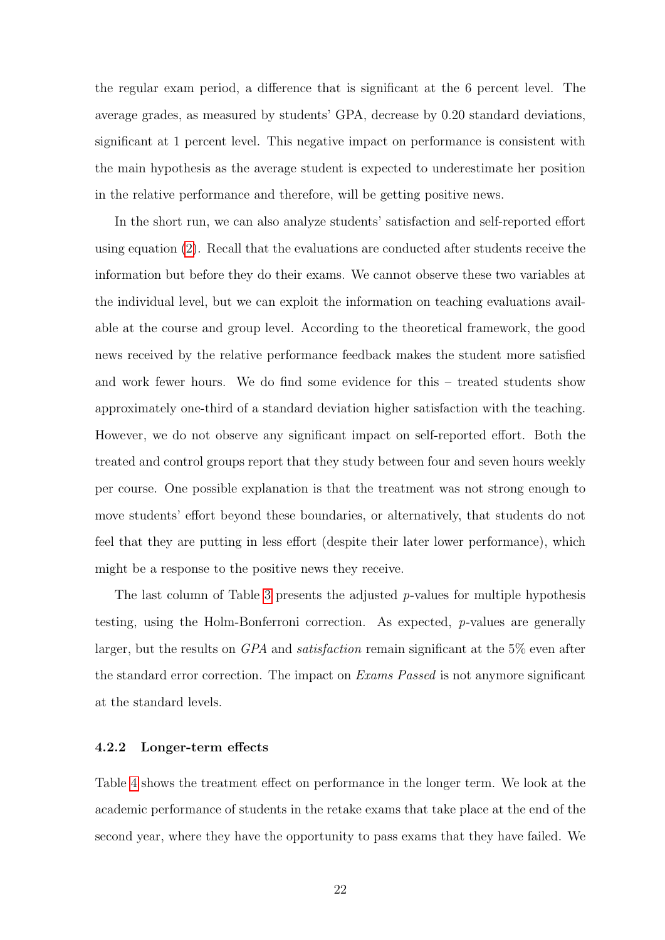the regular exam period, a difference that is significant at the 6 percent level. The average grades, as measured by students' GPA, decrease by 0.20 standard deviations, significant at 1 percent level. This negative impact on performance is consistent with the main hypothesis as the average student is expected to underestimate her position in the relative performance and therefore, will be getting positive news.

In the short run, we can also analyze students' satisfaction and self-reported effort using equation [\(2\)](#page-14-1). Recall that the evaluations are conducted after students receive the information but before they do their exams. We cannot observe these two variables at the individual level, but we can exploit the information on teaching evaluations available at the course and group level. According to the theoretical framework, the good news received by the relative performance feedback makes the student more satisfied and work fewer hours. We do find some evidence for this – treated students show approximately one-third of a standard deviation higher satisfaction with the teaching. However, we do not observe any significant impact on self-reported effort. Both the treated and control groups report that they study between four and seven hours weekly per course. One possible explanation is that the treatment was not strong enough to move students' effort beyond these boundaries, or alternatively, that students do not feel that they are putting in less effort (despite their later lower performance), which might be a response to the positive news they receive.

The last column of Table [3](#page-42-1) presents the adjusted  $p$ -values for multiple hypothesis testing, using the Holm-Bonferroni correction. As expected, p-values are generally larger, but the results on GPA and satisfaction remain significant at the 5% even after the standard error correction. The impact on *Exams Passed* is not anymore significant at the standard levels.

#### 4.2.2 Longer-term effects

Table [4](#page-43-0) shows the treatment effect on performance in the longer term. We look at the academic performance of students in the retake exams that take place at the end of the second year, where they have the opportunity to pass exams that they have failed. We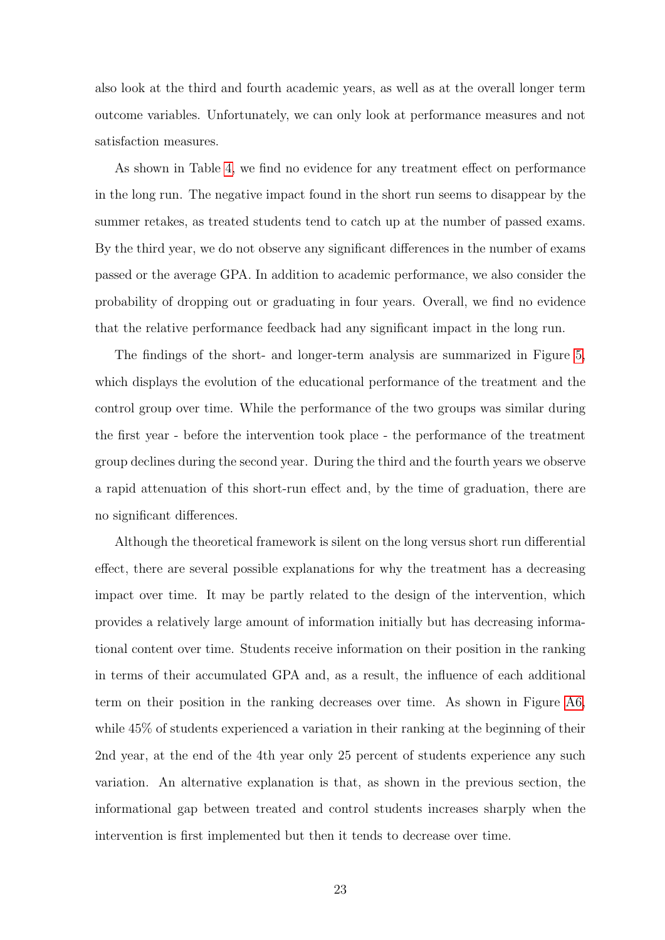also look at the third and fourth academic years, as well as at the overall longer term outcome variables. Unfortunately, we can only look at performance measures and not satisfaction measures.

As shown in Table [4,](#page-43-0) we find no evidence for any treatment effect on performance in the long run. The negative impact found in the short run seems to disappear by the summer retakes, as treated students tend to catch up at the number of passed exams. By the third year, we do not observe any significant differences in the number of exams passed or the average GPA. In addition to academic performance, we also consider the probability of dropping out or graduating in four years. Overall, we find no evidence that the relative performance feedback had any significant impact in the long run.

The findings of the short- and longer-term analysis are summarized in Figure [5,](#page-39-0) which displays the evolution of the educational performance of the treatment and the control group over time. While the performance of the two groups was similar during the first year - before the intervention took place - the performance of the treatment group declines during the second year. During the third and the fourth years we observe a rapid attenuation of this short-run effect and, by the time of graduation, there are no significant differences.

Although the theoretical framework is silent on the long versus short run differential effect, there are several possible explanations for why the treatment has a decreasing impact over time. It may be partly related to the design of the intervention, which provides a relatively large amount of information initially but has decreasing informational content over time. Students receive information on their position in the ranking in terms of their accumulated GPA and, as a result, the influence of each additional term on their position in the ranking decreases over time. As shown in Figure [A6,](#page-49-1) while 45% of students experienced a variation in their ranking at the beginning of their 2nd year, at the end of the 4th year only 25 percent of students experience any such variation. An alternative explanation is that, as shown in the previous section, the informational gap between treated and control students increases sharply when the intervention is first implemented but then it tends to decrease over time.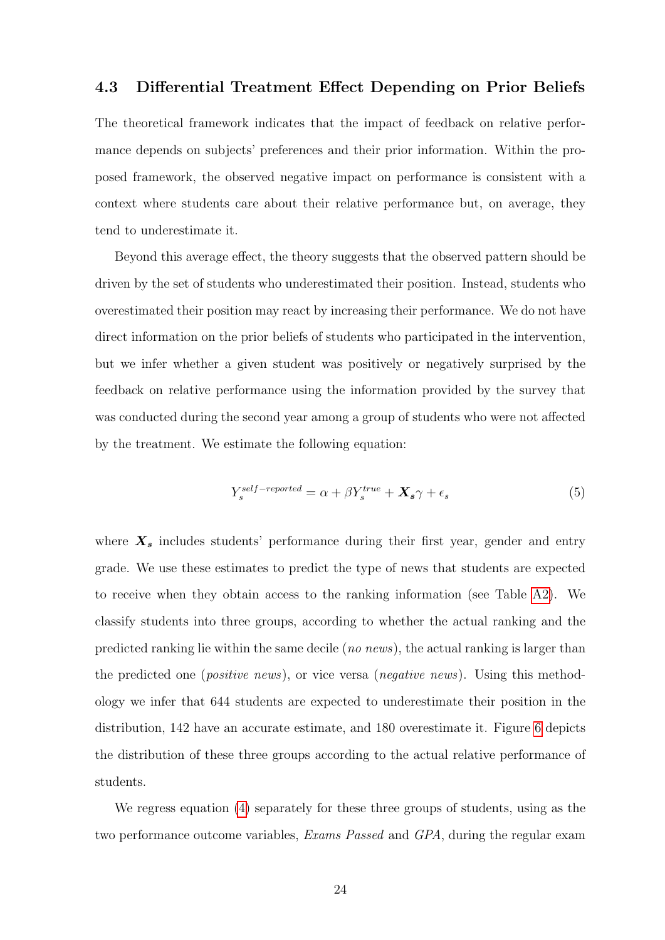## 4.3 Differential Treatment Effect Depending on Prior Beliefs

The theoretical framework indicates that the impact of feedback on relative performance depends on subjects' preferences and their prior information. Within the proposed framework, the observed negative impact on performance is consistent with a context where students care about their relative performance but, on average, they tend to underestimate it.

Beyond this average effect, the theory suggests that the observed pattern should be driven by the set of students who underestimated their position. Instead, students who overestimated their position may react by increasing their performance. We do not have direct information on the prior beliefs of students who participated in the intervention, but we infer whether a given student was positively or negatively surprised by the feedback on relative performance using the information provided by the survey that was conducted during the second year among a group of students who were not affected by the treatment. We estimate the following equation:

$$
Y_s^{self-reported} = \alpha + \beta Y_s^{true} + \mathbf{X}_s \gamma + \epsilon_s \tag{5}
$$

where  $X_s$  includes students' performance during their first year, gender and entry grade. We use these estimates to predict the type of news that students are expected to receive when they obtain access to the ranking information (see Table [A2\)](#page-53-1). We classify students into three groups, according to whether the actual ranking and the predicted ranking lie within the same decile (no news), the actual ranking is larger than the predicted one (*positive news*), or vice versa (*negative news*). Using this methodology we infer that 644 students are expected to underestimate their position in the distribution, 142 have an accurate estimate, and 180 overestimate it. Figure [6](#page-40-0) depicts the distribution of these three groups according to the actual relative performance of students.

We regress equation [\(4\)](#page-20-0) separately for these three groups of students, using as the two performance outcome variables, *Exams Passed* and *GPA*, during the regular exam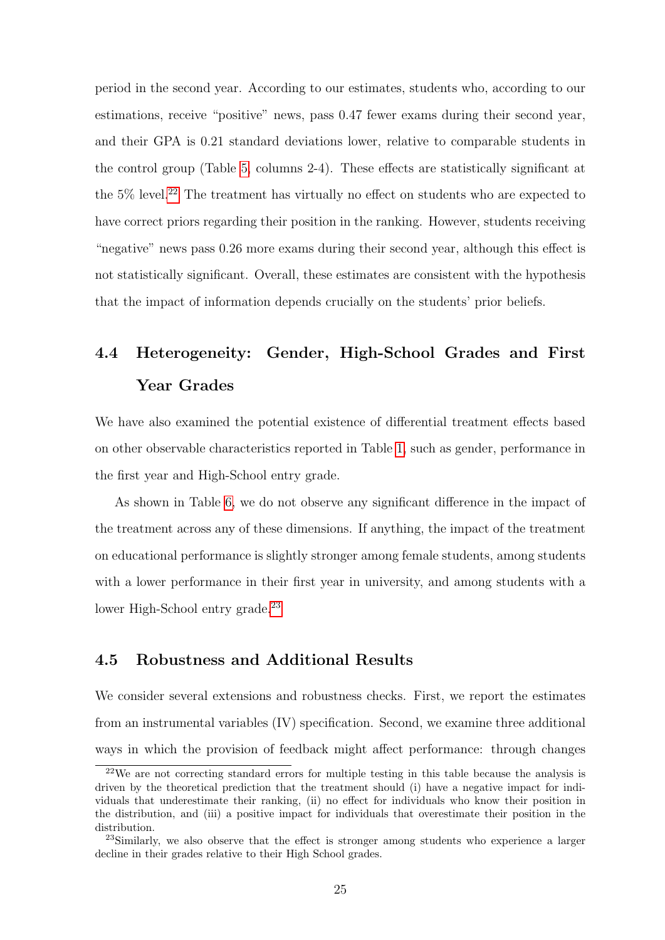period in the second year. According to our estimates, students who, according to our estimations, receive "positive" news, pass 0.47 fewer exams during their second year, and their GPA is 0.21 standard deviations lower, relative to comparable students in the control group (Table [5,](#page-44-0) columns 2-4). These effects are statistically significant at the  $5\%$  level.<sup>[22](#page-24-0)</sup> The treatment has virtually no effect on students who are expected to have correct priors regarding their position in the ranking. However, students receiving "negative" news pass 0.26 more exams during their second year, although this effect is not statistically significant. Overall, these estimates are consistent with the hypothesis that the impact of information depends crucially on the students' prior beliefs.

# 4.4 Heterogeneity: Gender, High-School Grades and First Year Grades

We have also examined the potential existence of differential treatment effects based on other observable characteristics reported in Table [1,](#page-41-0) such as gender, performance in the first year and High-School entry grade.

As shown in Table [6,](#page-44-1) we do not observe any significant difference in the impact of the treatment across any of these dimensions. If anything, the impact of the treatment on educational performance is slightly stronger among female students, among students with a lower performance in their first year in university, and among students with a lower High-School entry grade.<sup>[23](#page-24-1)</sup>

## 4.5 Robustness and Additional Results

We consider several extensions and robustness checks. First, we report the estimates from an instrumental variables (IV) specification. Second, we examine three additional ways in which the provision of feedback might affect performance: through changes

<span id="page-24-0"></span><sup>&</sup>lt;sup>22</sup>We are not correcting standard errors for multiple testing in this table because the analysis is driven by the theoretical prediction that the treatment should (i) have a negative impact for individuals that underestimate their ranking, (ii) no effect for individuals who know their position in the distribution, and (iii) a positive impact for individuals that overestimate their position in the distribution.

<span id="page-24-1"></span><sup>&</sup>lt;sup>23</sup>Similarly, we also observe that the effect is stronger among students who experience a larger decline in their grades relative to their High School grades.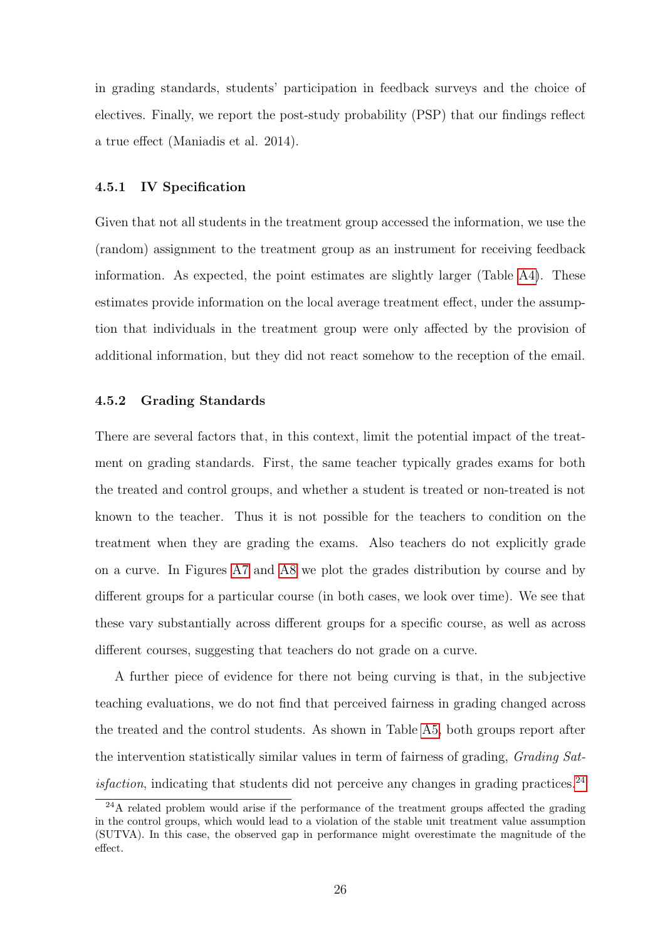in grading standards, students' participation in feedback surveys and the choice of electives. Finally, we report the post-study probability (PSP) that our findings reflect a true effect (Maniadis et al. 2014).

#### 4.5.1 IV Specification

Given that not all students in the treatment group accessed the information, we use the (random) assignment to the treatment group as an instrument for receiving feedback information. As expected, the point estimates are slightly larger (Table [A4\)](#page-55-0). These estimates provide information on the local average treatment effect, under the assumption that individuals in the treatment group were only affected by the provision of additional information, but they did not react somehow to the reception of the email.

### 4.5.2 Grading Standards

There are several factors that, in this context, limit the potential impact of the treatment on grading standards. First, the same teacher typically grades exams for both the treated and control groups, and whether a student is treated or non-treated is not known to the teacher. Thus it is not possible for the teachers to condition on the treatment when they are grading the exams. Also teachers do not explicitly grade on a curve. In Figures [A7](#page-50-0) and [A8](#page-51-0) we plot the grades distribution by course and by different groups for a particular course (in both cases, we look over time). We see that these vary substantially across different groups for a specific course, as well as across different courses, suggesting that teachers do not grade on a curve.

A further piece of evidence for there not being curving is that, in the subjective teaching evaluations, we do not find that perceived fairness in grading changed across the treated and the control students. As shown in Table [A5,](#page-56-0) both groups report after the intervention statistically similar values in term of fairness of grading, Grading Sat*isfaction*, indicating that students did not perceive any changes in grading practices.<sup>[24](#page-25-0)</sup>

<span id="page-25-0"></span><sup>&</sup>lt;sup>24</sup>A related problem would arise if the performance of the treatment groups affected the grading in the control groups, which would lead to a violation of the stable unit treatment value assumption (SUTVA). In this case, the observed gap in performance might overestimate the magnitude of the effect.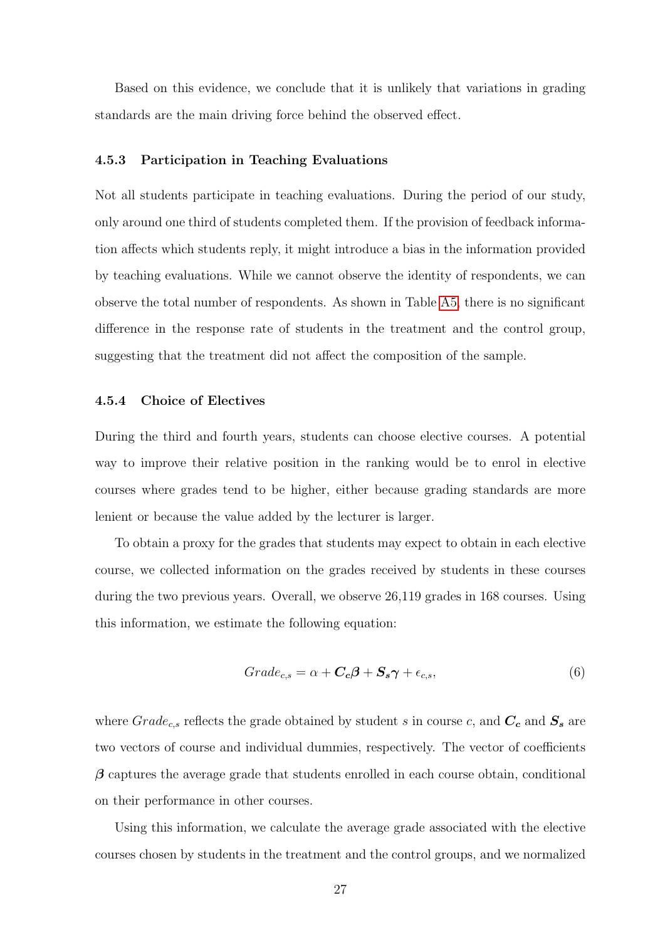Based on this evidence, we conclude that it is unlikely that variations in grading standards are the main driving force behind the observed effect.

### 4.5.3 Participation in Teaching Evaluations

Not all students participate in teaching evaluations. During the period of our study, only around one third of students completed them. If the provision of feedback information affects which students reply, it might introduce a bias in the information provided by teaching evaluations. While we cannot observe the identity of respondents, we can observe the total number of respondents. As shown in Table [A5,](#page-56-0) there is no significant difference in the response rate of students in the treatment and the control group, suggesting that the treatment did not affect the composition of the sample.

#### 4.5.4 Choice of Electives

During the third and fourth years, students can choose elective courses. A potential way to improve their relative position in the ranking would be to enrol in elective courses where grades tend to be higher, either because grading standards are more lenient or because the value added by the lecturer is larger.

To obtain a proxy for the grades that students may expect to obtain in each elective course, we collected information on the grades received by students in these courses during the two previous years. Overall, we observe 26,119 grades in 168 courses. Using this information, we estimate the following equation:

$$
Grade_{c,s} = \alpha + \mathbf{C}_c \beta + \mathbf{S}_s \gamma + \epsilon_{c,s},\tag{6}
$$

where  $Grade_{c,s}$  reflects the grade obtained by student s in course c, and  $C_c$  and  $S_s$  are two vectors of course and individual dummies, respectively. The vector of coefficients  $\beta$  captures the average grade that students enrolled in each course obtain, conditional on their performance in other courses.

Using this information, we calculate the average grade associated with the elective courses chosen by students in the treatment and the control groups, and we normalized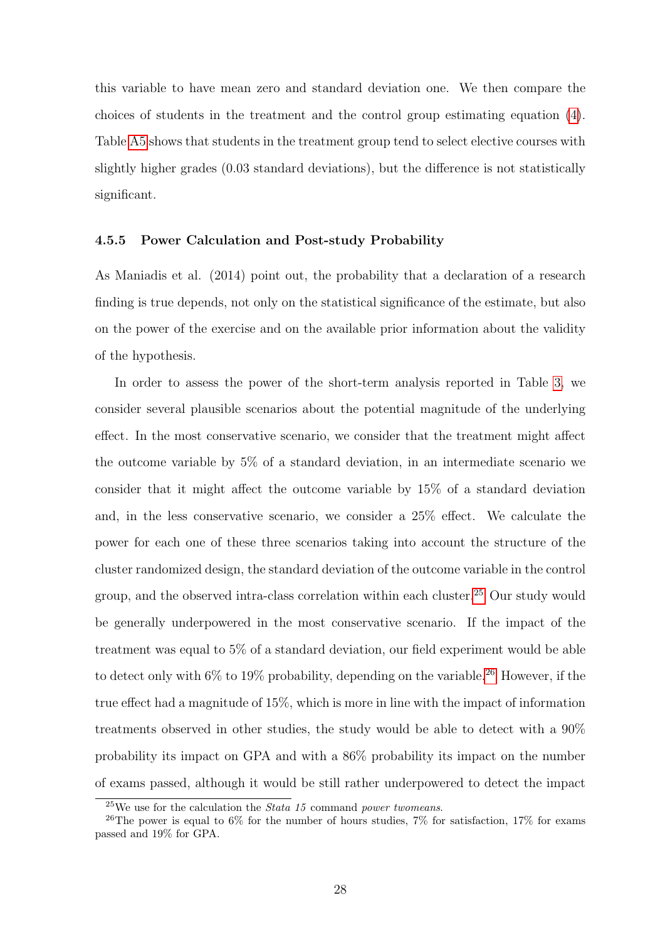this variable to have mean zero and standard deviation one. We then compare the choices of students in the treatment and the control group estimating equation [\(4\)](#page-20-0). Table [A5](#page-56-0) shows that students in the treatment group tend to select elective courses with slightly higher grades (0.03 standard deviations), but the difference is not statistically significant.

#### 4.5.5 Power Calculation and Post-study Probability

As Maniadis et al. (2014) point out, the probability that a declaration of a research finding is true depends, not only on the statistical significance of the estimate, but also on the power of the exercise and on the available prior information about the validity of the hypothesis.

In order to assess the power of the short-term analysis reported in Table [3,](#page-42-1) we consider several plausible scenarios about the potential magnitude of the underlying effect. In the most conservative scenario, we consider that the treatment might affect the outcome variable by 5% of a standard deviation, in an intermediate scenario we consider that it might affect the outcome variable by 15% of a standard deviation and, in the less conservative scenario, we consider a 25% effect. We calculate the power for each one of these three scenarios taking into account the structure of the cluster randomized design, the standard deviation of the outcome variable in the control group, and the observed intra-class correlation within each cluster.[25](#page-27-0) Our study would be generally underpowered in the most conservative scenario. If the impact of the treatment was equal to 5% of a standard deviation, our field experiment would be able to detect only with  $6\%$  to  $19\%$  probability, depending on the variable.<sup>[26](#page-27-1)</sup> However, if the true effect had a magnitude of 15%, which is more in line with the impact of information treatments observed in other studies, the study would be able to detect with a 90% probability its impact on GPA and with a 86% probability its impact on the number of exams passed, although it would be still rather underpowered to detect the impact

<span id="page-27-1"></span><span id="page-27-0"></span> $^{25}$ We use for the calculation the *Stata 15* command *power twomeans*.

<sup>&</sup>lt;sup>26</sup>The power is equal to 6% for the number of hours studies, 7% for satisfaction, 17% for exams passed and 19% for GPA.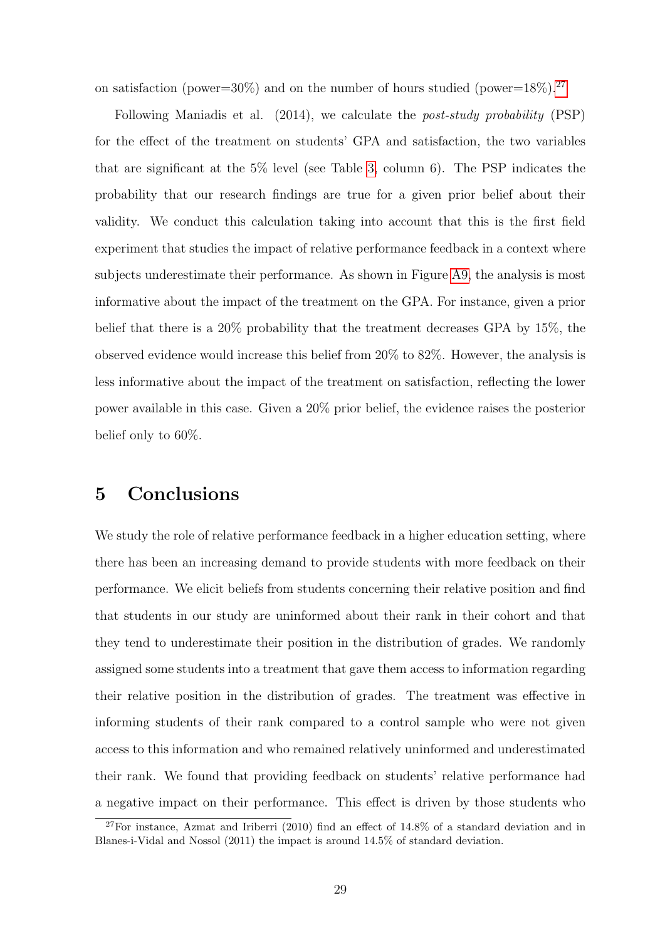on satisfaction (power=30%) and on the number of hours studied (power=18%).<sup>[27](#page-28-0)</sup>

Following Maniadis et al. (2014), we calculate the post-study probability (PSP) for the effect of the treatment on students' GPA and satisfaction, the two variables that are significant at the 5% level (see Table [3,](#page-42-1) column 6). The PSP indicates the probability that our research findings are true for a given prior belief about their validity. We conduct this calculation taking into account that this is the first field experiment that studies the impact of relative performance feedback in a context where subjects underestimate their performance. As shown in Figure [A9,](#page-52-0) the analysis is most informative about the impact of the treatment on the GPA. For instance, given a prior belief that there is a 20% probability that the treatment decreases GPA by 15%, the observed evidence would increase this belief from 20% to 82%. However, the analysis is less informative about the impact of the treatment on satisfaction, reflecting the lower power available in this case. Given a 20% prior belief, the evidence raises the posterior belief only to 60%.

## 5 Conclusions

We study the role of relative performance feedback in a higher education setting, where there has been an increasing demand to provide students with more feedback on their performance. We elicit beliefs from students concerning their relative position and find that students in our study are uninformed about their rank in their cohort and that they tend to underestimate their position in the distribution of grades. We randomly assigned some students into a treatment that gave them access to information regarding their relative position in the distribution of grades. The treatment was effective in informing students of their rank compared to a control sample who were not given access to this information and who remained relatively uninformed and underestimated their rank. We found that providing feedback on students' relative performance had a negative impact on their performance. This effect is driven by those students who

<span id="page-28-0"></span><sup>&</sup>lt;sup>27</sup>For instance, Azmat and Iriberri (2010) find an effect of  $14.8\%$  of a standard deviation and in Blanes-i-Vidal and Nossol (2011) the impact is around 14.5% of standard deviation.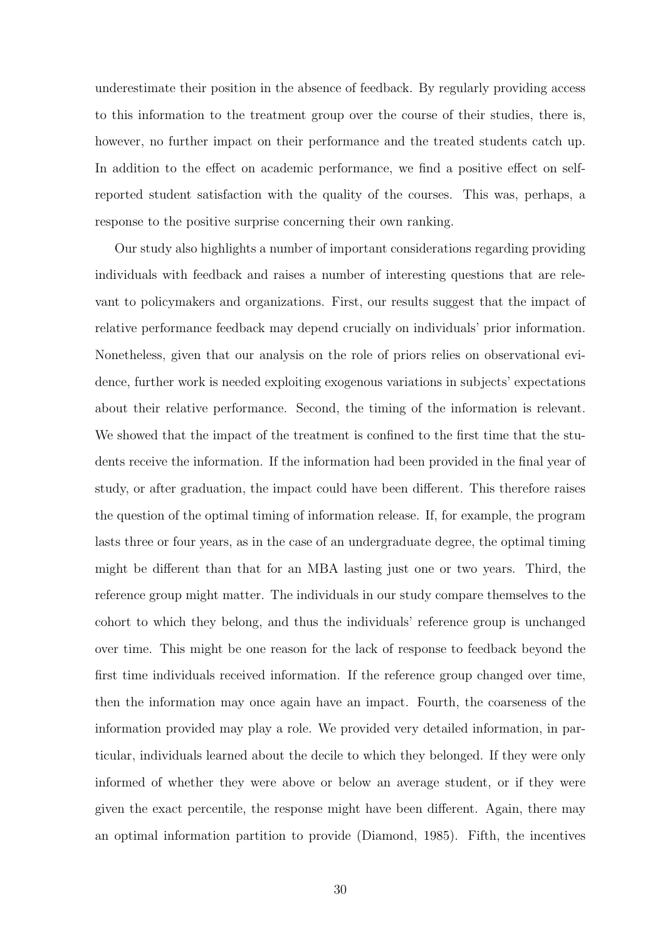underestimate their position in the absence of feedback. By regularly providing access to this information to the treatment group over the course of their studies, there is, however, no further impact on their performance and the treated students catch up. In addition to the effect on academic performance, we find a positive effect on selfreported student satisfaction with the quality of the courses. This was, perhaps, a response to the positive surprise concerning their own ranking.

Our study also highlights a number of important considerations regarding providing individuals with feedback and raises a number of interesting questions that are relevant to policymakers and organizations. First, our results suggest that the impact of relative performance feedback may depend crucially on individuals' prior information. Nonetheless, given that our analysis on the role of priors relies on observational evidence, further work is needed exploiting exogenous variations in subjects' expectations about their relative performance. Second, the timing of the information is relevant. We showed that the impact of the treatment is confined to the first time that the students receive the information. If the information had been provided in the final year of study, or after graduation, the impact could have been different. This therefore raises the question of the optimal timing of information release. If, for example, the program lasts three or four years, as in the case of an undergraduate degree, the optimal timing might be different than that for an MBA lasting just one or two years. Third, the reference group might matter. The individuals in our study compare themselves to the cohort to which they belong, and thus the individuals' reference group is unchanged over time. This might be one reason for the lack of response to feedback beyond the first time individuals received information. If the reference group changed over time, then the information may once again have an impact. Fourth, the coarseness of the information provided may play a role. We provided very detailed information, in particular, individuals learned about the decile to which they belonged. If they were only informed of whether they were above or below an average student, or if they were given the exact percentile, the response might have been different. Again, there may an optimal information partition to provide (Diamond, 1985). Fifth, the incentives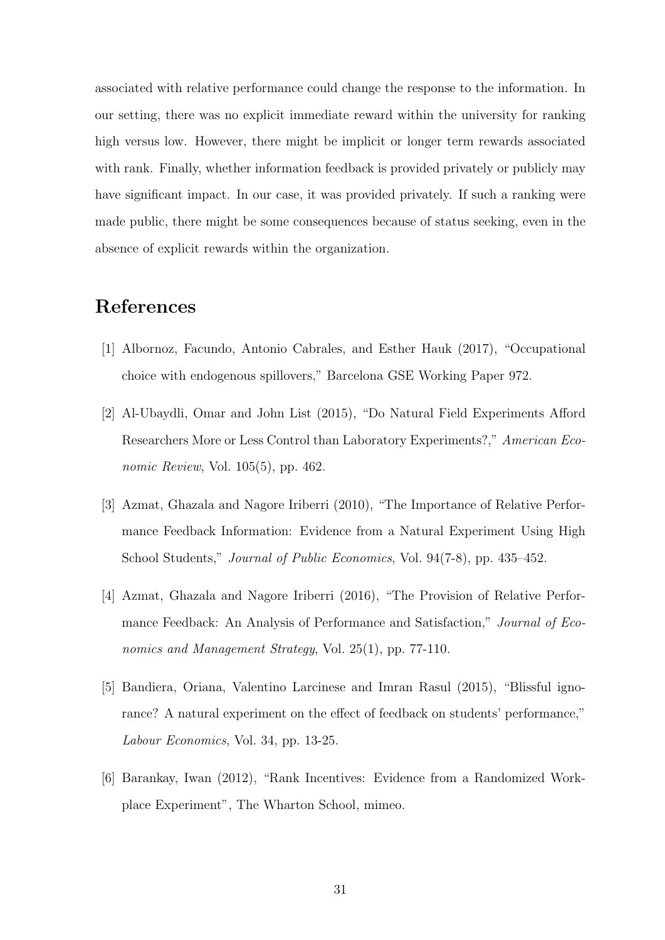associated with relative performance could change the response to the information. In our setting, there was no explicit immediate reward within the university for ranking high versus low. However, there might be implicit or longer term rewards associated with rank. Finally, whether information feedback is provided privately or publicly may have significant impact. In our case, it was provided privately. If such a ranking were made public, there might be some consequences because of status seeking, even in the absence of explicit rewards within the organization.

# References

- [1] Albornoz, Facundo, Antonio Cabrales, and Esther Hauk (2017), "Occupational choice with endogenous spillovers," Barcelona GSE Working Paper 972.
- [2] Al-Ubaydli, Omar and John List (2015), "Do Natural Field Experiments Afford Researchers More or Less Control than Laboratory Experiments?," American Economic Review, Vol. 105(5), pp. 462.
- [3] Azmat, Ghazala and Nagore Iriberri (2010), "The Importance of Relative Performance Feedback Information: Evidence from a Natural Experiment Using High School Students," Journal of Public Economics, Vol. 94(7-8), pp. 435–452.
- [4] Azmat, Ghazala and Nagore Iriberri (2016), "The Provision of Relative Performance Feedback: An Analysis of Performance and Satisfaction," Journal of Economics and Management Strategy, Vol. 25(1), pp. 77-110.
- [5] Bandiera, Oriana, Valentino Larcinese and Imran Rasul (2015), "Blissful ignorance? A natural experiment on the effect of feedback on students' performance," Labour Economics, Vol. 34, pp. 13-25.
- [6] Barankay, Iwan (2012), "Rank Incentives: Evidence from a Randomized Workplace Experiment", The Wharton School, mimeo.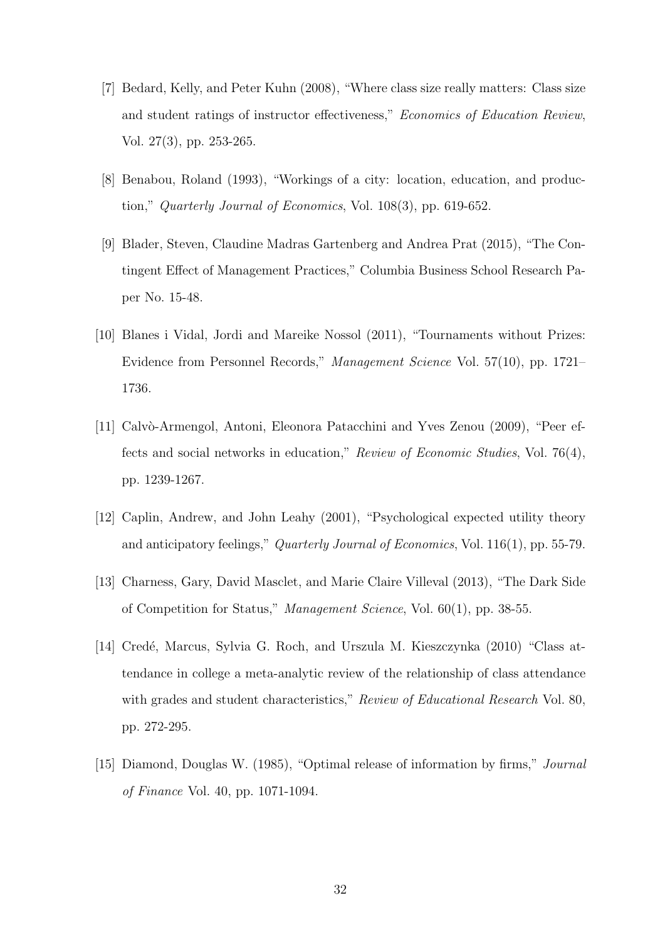- [7] Bedard, Kelly, and Peter Kuhn (2008), "Where class size really matters: Class size and student ratings of instructor effectiveness," Economics of Education Review, Vol. 27(3), pp. 253-265.
- [8] Benabou, Roland (1993), "Workings of a city: location, education, and production," Quarterly Journal of Economics, Vol. 108(3), pp. 619-652.
- [9] Blader, Steven, Claudine Madras Gartenberg and Andrea Prat (2015), "The Contingent Effect of Management Practices," Columbia Business School Research Paper No. 15-48.
- [10] Blanes i Vidal, Jordi and Mareike Nossol (2011), "Tournaments without Prizes: Evidence from Personnel Records," Management Science Vol. 57(10), pp. 1721– 1736.
- [11] Calvò-Armengol, Antoni, Eleonora Patacchini and Yves Zenou (2009), "Peer effects and social networks in education," Review of Economic Studies, Vol. 76(4), pp. 1239-1267.
- [12] Caplin, Andrew, and John Leahy (2001), "Psychological expected utility theory and anticipatory feelings," Quarterly Journal of Economics, Vol. 116(1), pp. 55-79.
- [13] Charness, Gary, David Masclet, and Marie Claire Villeval (2013), "The Dark Side of Competition for Status," Management Science, Vol. 60(1), pp. 38-55.
- [14] Credé, Marcus, Sylvia G. Roch, and Urszula M. Kieszczynka (2010) "Class attendance in college a meta-analytic review of the relationship of class attendance with grades and student characteristics," Review of Educational Research Vol. 80, pp. 272-295.
- [15] Diamond, Douglas W. (1985), "Optimal release of information by firms," Journal of Finance Vol. 40, pp. 1071-1094.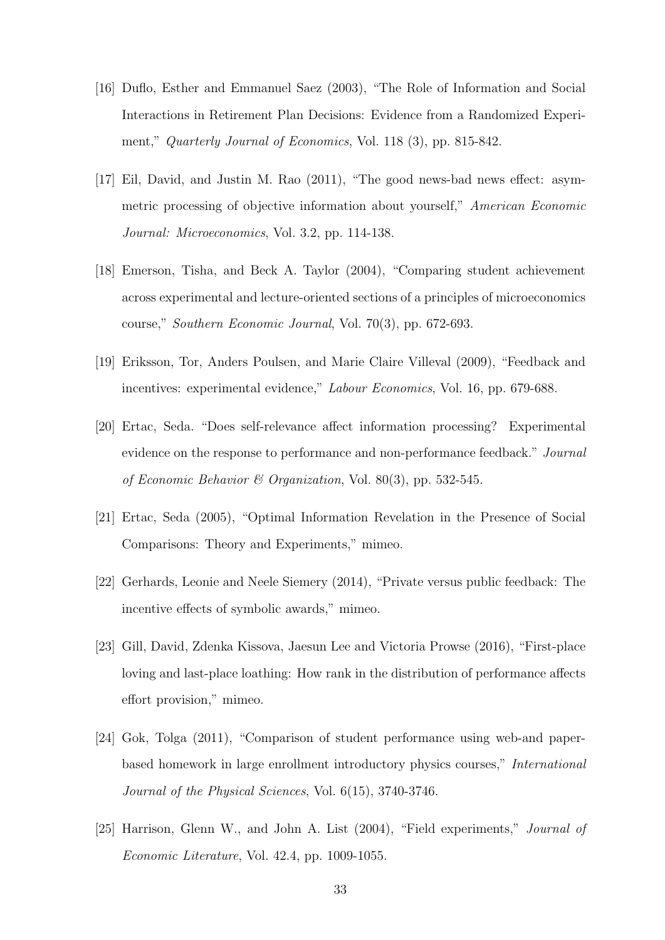- [16] Duflo, Esther and Emmanuel Saez (2003), "The Role of Information and Social Interactions in Retirement Plan Decisions: Evidence from a Randomized Experiment," Quarterly Journal of Economics, Vol. 118 (3), pp. 815-842.
- [17] Eil, David, and Justin M. Rao (2011), "The good news-bad news effect: asymmetric processing of objective information about yourself," American Economic Journal: Microeconomics, Vol. 3.2, pp. 114-138.
- [18] Emerson, Tisha, and Beck A. Taylor (2004), "Comparing student achievement across experimental and lecture-oriented sections of a principles of microeconomics course," Southern Economic Journal, Vol. 70(3), pp. 672-693.
- [19] Eriksson, Tor, Anders Poulsen, and Marie Claire Villeval (2009), "Feedback and incentives: experimental evidence," Labour Economics, Vol. 16, pp. 679-688.
- [20] Ertac, Seda. "Does self-relevance affect information processing? Experimental evidence on the response to performance and non-performance feedback." Journal of Economic Behavior & Organization, Vol. 80(3), pp. 532-545.
- [21] Ertac, Seda (2005), "Optimal Information Revelation in the Presence of Social Comparisons: Theory and Experiments," mimeo.
- [22] Gerhards, Leonie and Neele Siemery (2014), "Private versus public feedback: The incentive effects of symbolic awards," mimeo.
- [23] Gill, David, Zdenka Kissova, Jaesun Lee and Victoria Prowse (2016), "First-place loving and last-place loathing: How rank in the distribution of performance affects effort provision," mimeo.
- [24] Gok, Tolga (2011), "Comparison of student performance using web-and paperbased homework in large enrollment introductory physics courses," International Journal of the Physical Sciences, Vol. 6(15), 3740-3746.
- [25] Harrison, Glenn W., and John A. List (2004), "Field experiments," *Journal of* Economic Literature, Vol. 42.4, pp. 1009-1055.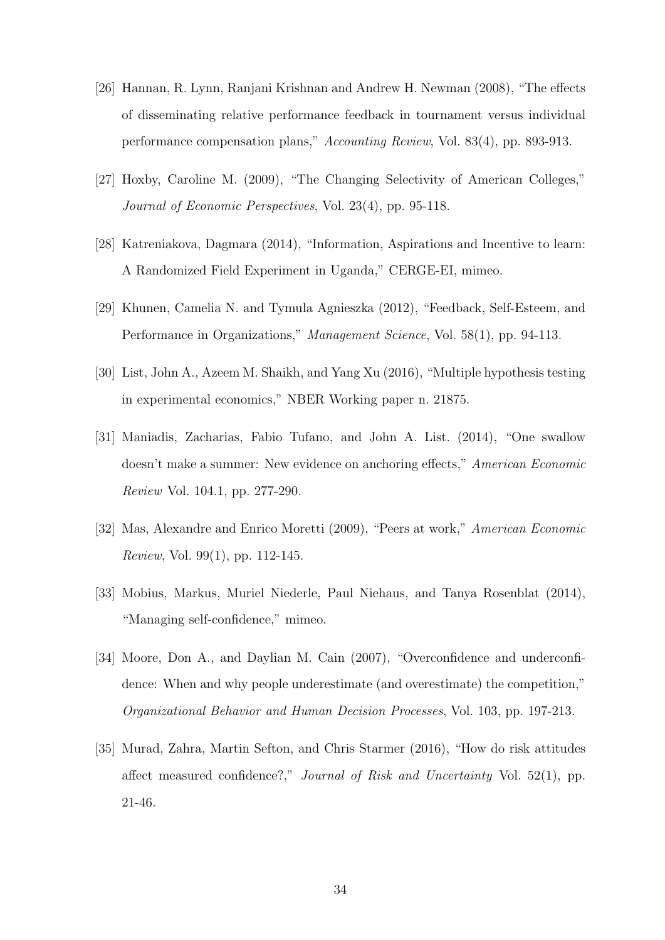- [26] Hannan, R. Lynn, Ranjani Krishnan and Andrew H. Newman (2008), "The effects of disseminating relative performance feedback in tournament versus individual performance compensation plans," Accounting Review, Vol. 83(4), pp. 893-913.
- [27] Hoxby, Caroline M. (2009), "The Changing Selectivity of American Colleges," Journal of Economic Perspectives, Vol. 23(4), pp. 95-118.
- [28] Katreniakova, Dagmara (2014), "Information, Aspirations and Incentive to learn: A Randomized Field Experiment in Uganda," CERGE-EI, mimeo.
- [29] Khunen, Camelia N. and Tymula Agnieszka (2012), "Feedback, Self-Esteem, and Performance in Organizations," Management Science, Vol. 58(1), pp. 94-113.
- [30] List, John A., Azeem M. Shaikh, and Yang Xu (2016), "Multiple hypothesis testing in experimental economics," NBER Working paper n. 21875.
- [31] Maniadis, Zacharias, Fabio Tufano, and John A. List. (2014), "One swallow doesn't make a summer: New evidence on anchoring effects," American Economic Review Vol. 104.1, pp. 277-290.
- [32] Mas, Alexandre and Enrico Moretti (2009), "Peers at work," American Economic Review, Vol. 99(1), pp. 112-145.
- [33] Mobius, Markus, Muriel Niederle, Paul Niehaus, and Tanya Rosenblat (2014), "Managing self-confidence," mimeo.
- [34] Moore, Don A., and Daylian M. Cain (2007), "Overconfidence and underconfidence: When and why people underestimate (and overestimate) the competition," Organizational Behavior and Human Decision Processes, Vol. 103, pp. 197-213.
- [35] Murad, Zahra, Martin Sefton, and Chris Starmer (2016), "How do risk attitudes affect measured confidence?," Journal of Risk and Uncertainty Vol. 52(1), pp. 21-46.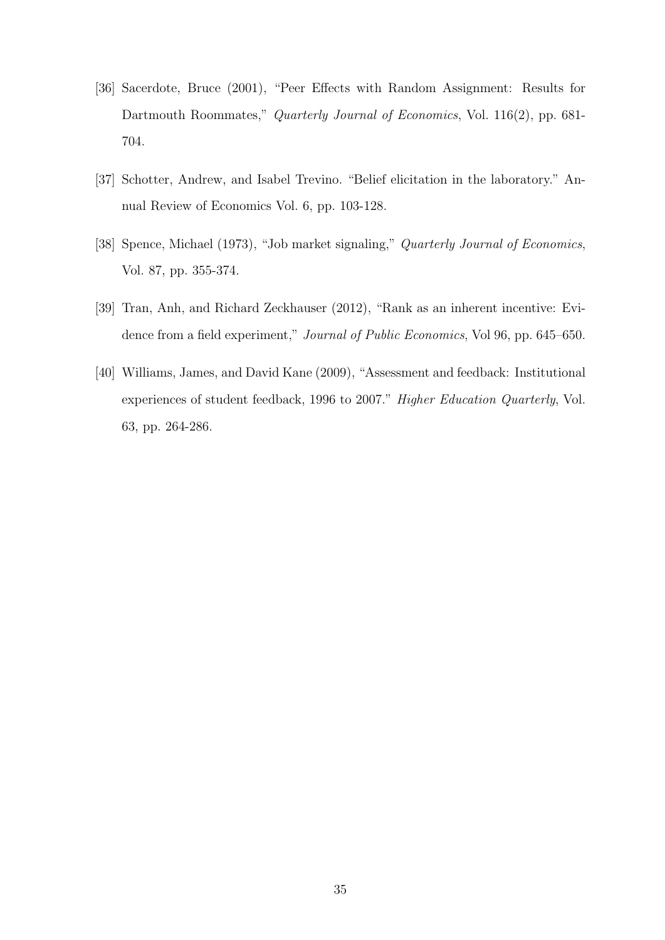- [36] Sacerdote, Bruce (2001), "Peer Effects with Random Assignment: Results for Dartmouth Roommates," Quarterly Journal of Economics, Vol. 116(2), pp. 681-704.
- [37] Schotter, Andrew, and Isabel Trevino. "Belief elicitation in the laboratory." Annual Review of Economics Vol. 6, pp. 103-128.
- [38] Spence, Michael (1973), "Job market signaling," Quarterly Journal of Economics, Vol. 87, pp. 355-374.
- [39] Tran, Anh, and Richard Zeckhauser (2012), "Rank as an inherent incentive: Evidence from a field experiment," Journal of Public Economics, Vol 96, pp. 645–650.
- [40] Williams, James, and David Kane (2009), "Assessment and feedback: Institutional experiences of student feedback, 1996 to 2007." Higher Education Quarterly, Vol. 63, pp. 264-286.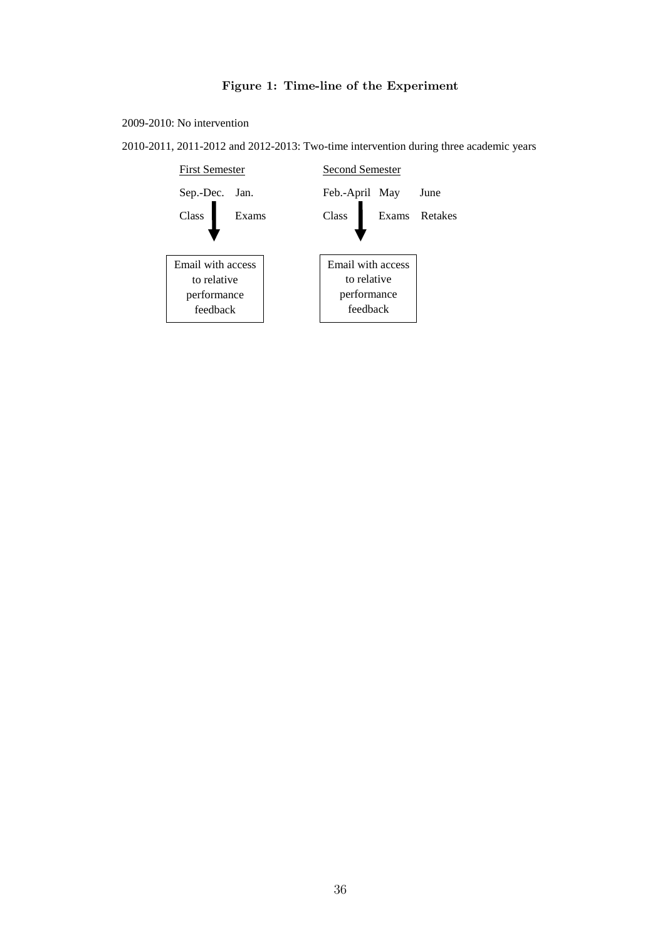# Figure 1: Time-line of the Experiment

<span id="page-35-0"></span>2009-2010: No intervention

2010-2011, 2011-2012 and 2012-2013: Two-time intervention during three academic years

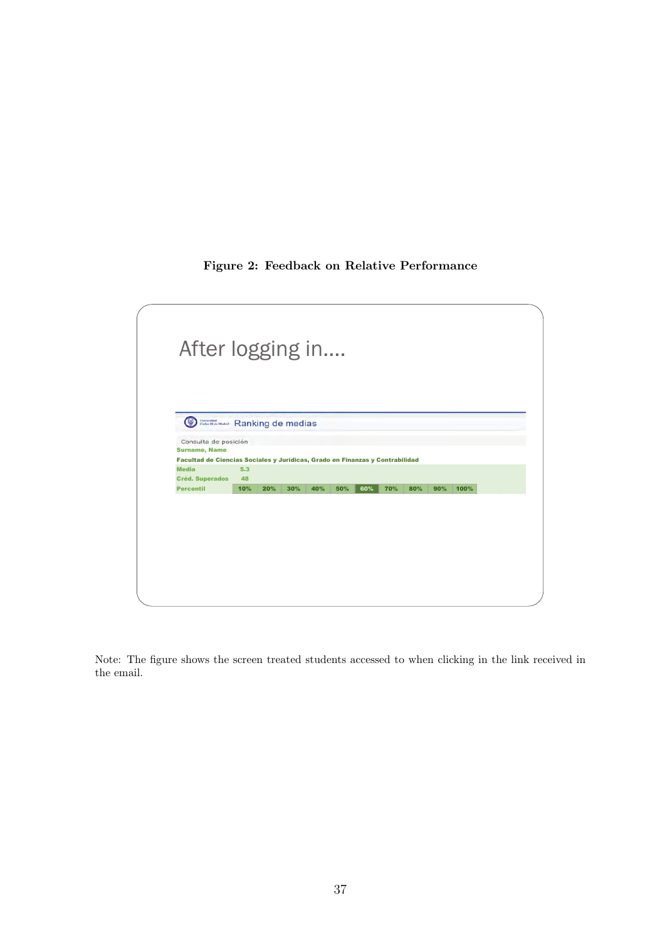## Figure 2: Feedback on Relative Performance

<span id="page-36-0"></span>

Note: The figure shows the screen treated students accessed to when clicking in the link received in the email.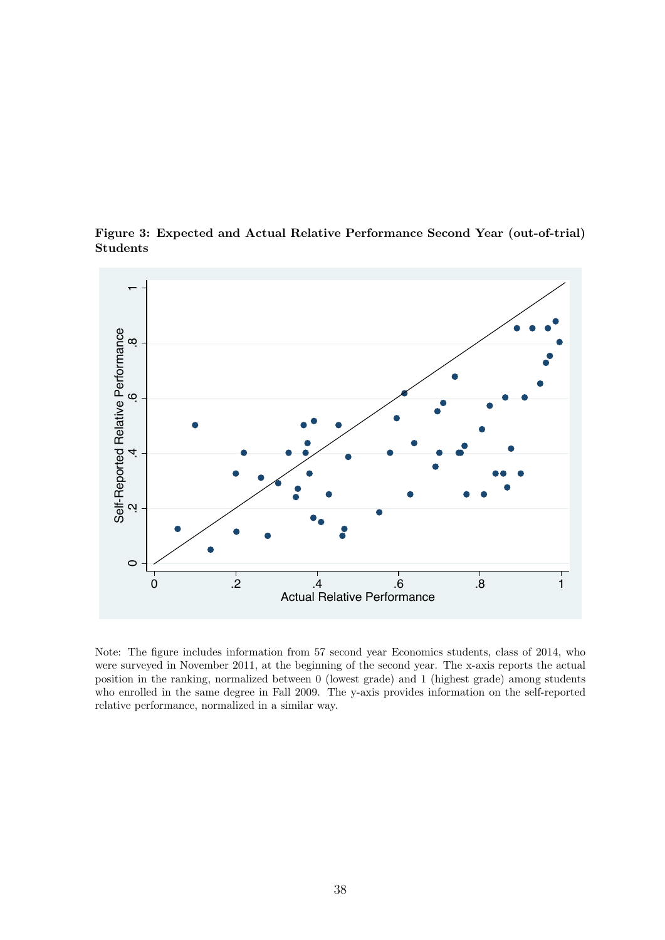<span id="page-37-0"></span>

Figure 3: Expected and Actual Relative Performance Second Year (out-of-trial) Students

Note: The figure includes information from 57 second year Economics students, class of 2014, who were surveyed in November 2011, at the beginning of the second year. The x-axis reports the actual position in the ranking, normalized between 0 (lowest grade) and 1 (highest grade) among students who enrolled in the same degree in Fall 2009. The y-axis provides information on the self-reported relative performance, normalized in a similar way.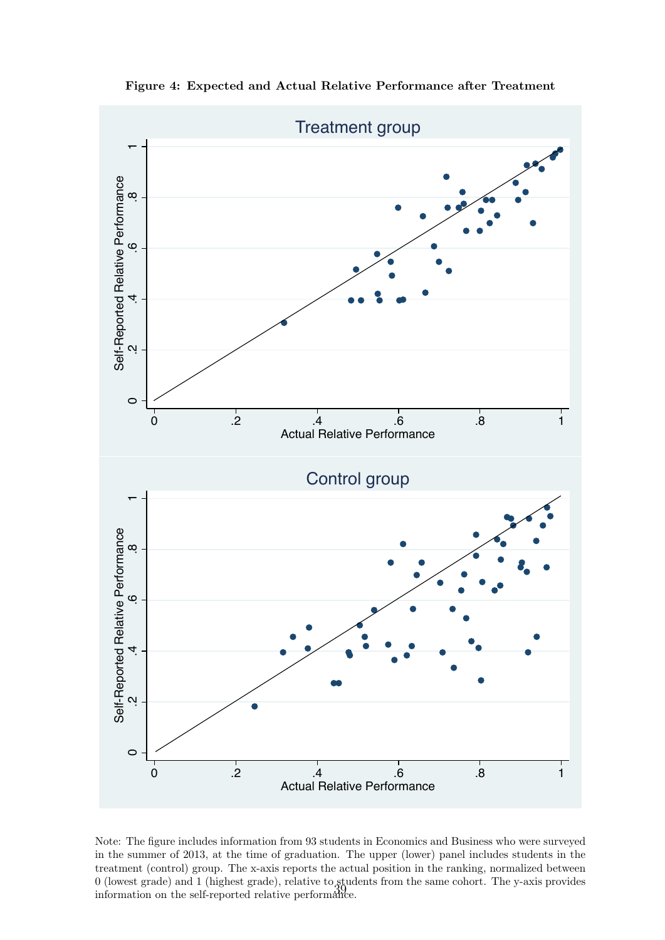<span id="page-38-0"></span>

Figure 4: Expected and Actual Relative Performance after Treatment

Note: The figure includes information from 93 students in Economics and Business who were surveyed in the summer of 2013, at the time of graduation. The upper (lower) panel includes students in the treatment (control) group. The x-axis reports the actual position in the ranking, normalized between 0 (lowest grade) and 1 (highest grade), relative to students from the same cohort. The y-axis provides information on the self-reported relative performance.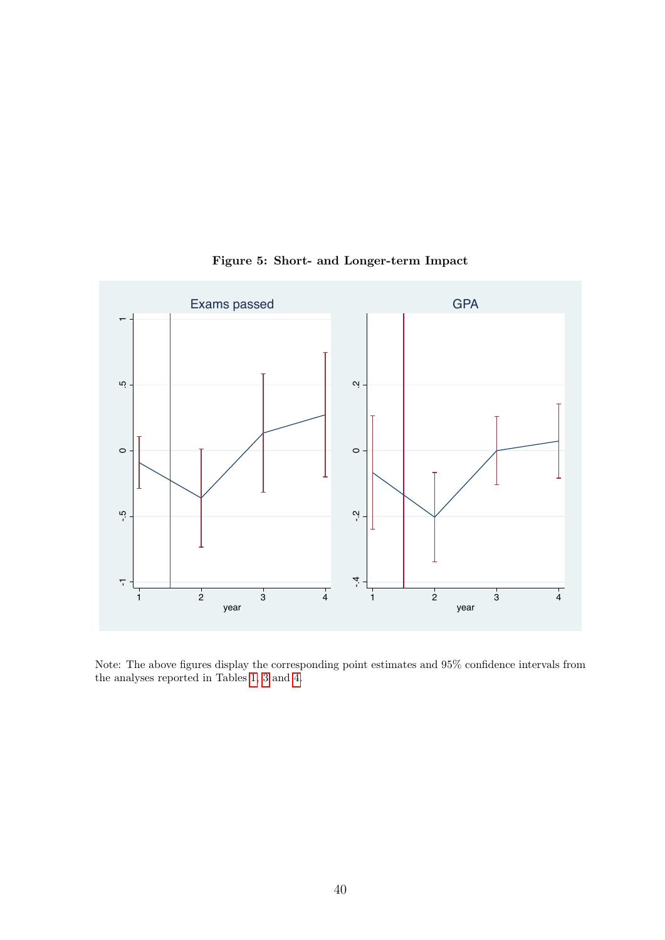<span id="page-39-0"></span>

Figure 5: Short- and Longer-term Impact

Note: The above figures display the corresponding point estimates and 95% confidence intervals from the analyses reported in Tables [1,](#page-41-0) [3](#page-42-1) and [4.](#page-43-0)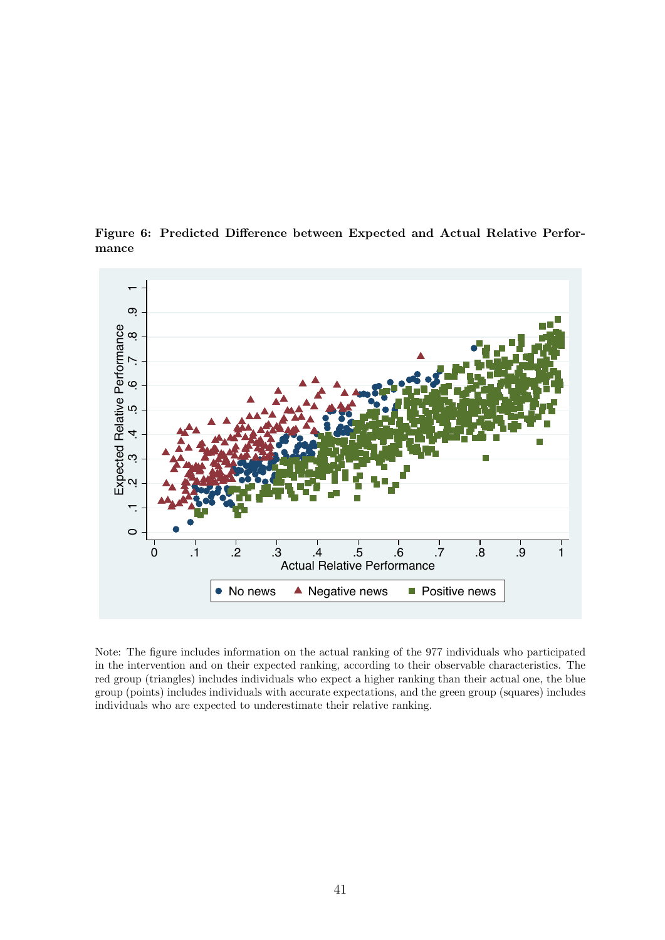<span id="page-40-0"></span>

Figure 6: Predicted Difference between Expected and Actual Relative Performance

Note: The figure includes information on the actual ranking of the 977 individuals who participated in the intervention and on their expected ranking, according to their observable characteristics. The red group (triangles) includes individuals who expect a higher ranking than their actual one, the blue group (points) includes individuals with accurate expectations, and the green group (squares) includes individuals who are expected to underestimate their relative ranking.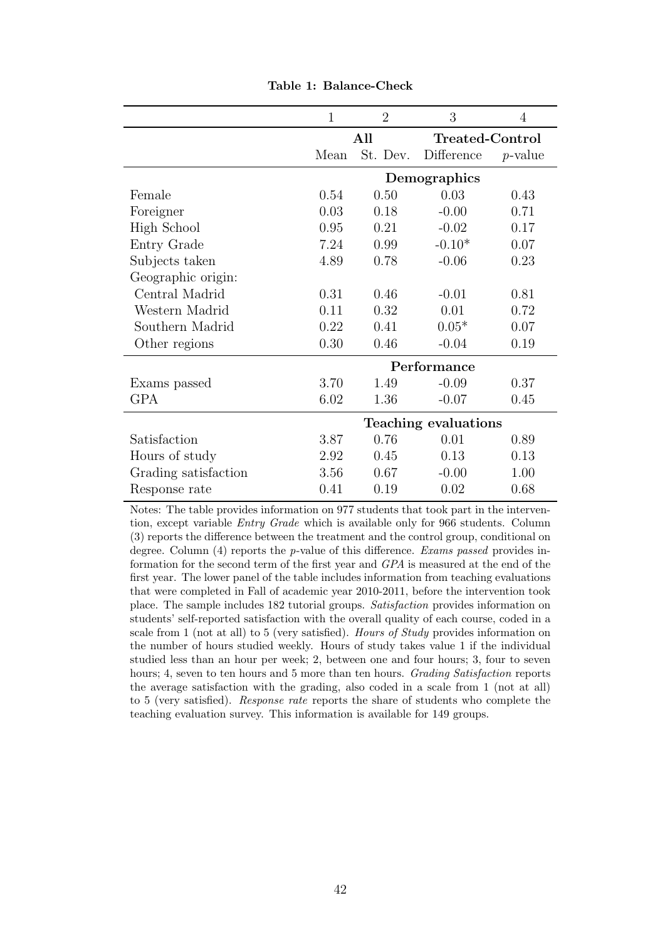<span id="page-41-0"></span>

|                      | $\mathbf{1}$         | $\overline{2}$ | 3               | 4          |  |
|----------------------|----------------------|----------------|-----------------|------------|--|
|                      |                      | All            | Treated-Control |            |  |
|                      | Mean                 | St. Dev.       | Difference      | $p$ -value |  |
|                      |                      |                | Demographics    |            |  |
| Female               | 0.54                 | 0.50           | 0.03            | 0.43       |  |
| Foreigner            | 0.03                 | 0.18           | $-0.00$         | 0.71       |  |
| High School          | 0.95                 | 0.21           | $-0.02$         | 0.17       |  |
| Entry Grade          | 7.24                 | 0.99           | $-0.10*$        | 0.07       |  |
| Subjects taken       | 4.89                 | 0.78           | $-0.06$         | 0.23       |  |
| Geographic origin:   |                      |                |                 |            |  |
| Central Madrid       | 0.31                 | 0.46           | $-0.01$         | 0.81       |  |
| Western Madrid       | 0.11                 | 0.32           | 0.01            | 0.72       |  |
| Southern Madrid      | 0.22                 | 0.41           | $0.05*$         | 0.07       |  |
| Other regions        | 0.30                 | 0.46           | $-0.04$         | 0.19       |  |
|                      |                      |                | Performance     |            |  |
| Exams passed         | 3.70                 | 1.49           | $-0.09$         | 0.37       |  |
| GPA                  | 6.02                 | 1.36           | $-0.07$         | 0.45       |  |
|                      | Teaching evaluations |                |                 |            |  |
| Satisfaction         | 3.87                 | 0.76           | 0.01            | 0.89       |  |
| Hours of study       | 2.92                 | 0.45           | 0.13            | 0.13       |  |
| Grading satisfaction | 3.56                 | 0.67           | $-0.00$         | 1.00       |  |
| Response rate        | 0.41                 | 0.19           | 0.02            | 0.68       |  |

Table 1: Balance-Check

Notes: The table provides information on 977 students that took part in the intervention, except variable Entry Grade which is available only for 966 students. Column (3) reports the difference between the treatment and the control group, conditional on degree. Column (4) reports the p-value of this difference. Exams passed provides information for the second term of the first year and GPA is measured at the end of the first year. The lower panel of the table includes information from teaching evaluations that were completed in Fall of academic year 2010-2011, before the intervention took place. The sample includes 182 tutorial groups. Satisfaction provides information on students' self-reported satisfaction with the overall quality of each course, coded in a scale from 1 (not at all) to 5 (very satisfied). Hours of Study provides information on the number of hours studied weekly. Hours of study takes value 1 if the individual studied less than an hour per week; 2, between one and four hours; 3, four to seven hours; 4, seven to ten hours and 5 more than ten hours. Grading Satisfaction reports the average satisfaction with the grading, also coded in a scale from 1 (not at all) to 5 (very satisfied). Response rate reports the share of students who complete the teaching evaluation survey. This information is available for 149 groups.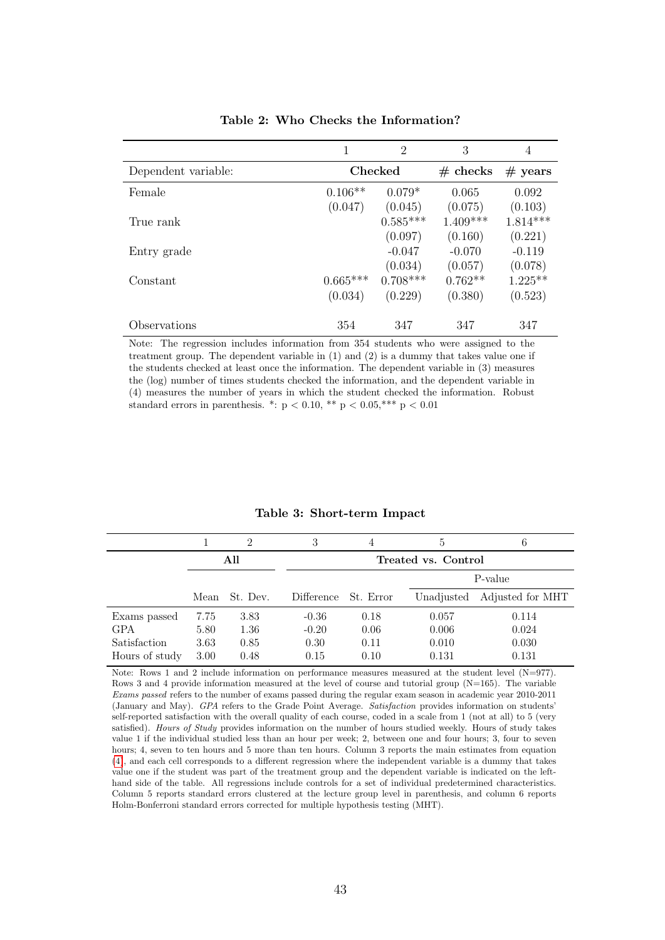<span id="page-42-0"></span>

|                     |            | $\overline{2}$ | 3          | 4                 |
|---------------------|------------|----------------|------------|-------------------|
| Dependent variable: |            | <b>Checked</b> |            | $# \text{ years}$ |
| Female              | $0.106**$  | $0.079*$       | 0.065      | 0.092             |
|                     | (0.047)    | (0.045)        | (0.075)    | (0.103)           |
| True rank           |            | $0.585***$     | $1.409***$ | $1.814***$        |
|                     |            | (0.097)        | (0.160)    | (0.221)           |
| Entry grade         |            | $-0.047$       | $-0.070$   | $-0.119$          |
|                     |            | (0.034)        | (0.057)    | (0.078)           |
| Constant            | $0.665***$ | $0.708***$     | $0.762**$  | $1.225**$         |
|                     | (0.034)    | (0.229)        | (0.380)    | (0.523)           |
| Observations        | 354        | 347            | 347        | 347               |

Table 2: Who Checks the Information?

Note: The regression includes information from 354 students who were assigned to the treatment group. The dependent variable in (1) and (2) is a dummy that takes value one if the students checked at least once the information. The dependent variable in (3) measures the (log) number of times students checked the information, and the dependent variable in (4) measures the number of years in which the student checked the information. Robust standard errors in parenthesis. \*:  $p < 0.10$ , \*\*  $p < 0.05$ , \*\*\*  $p < 0.01$ 

<span id="page-42-1"></span>

|                |      | 2        | 3          | 4         | 5                   | 6                |
|----------------|------|----------|------------|-----------|---------------------|------------------|
|                |      | All      |            |           | Treated vs. Control |                  |
|                |      |          |            |           |                     | P-value          |
|                | Mean | St. Dev. | Difference | St. Error | Unadjusted          | Adjusted for MHT |
| Exams passed   | 7.75 | 3.83     | $-0.36$    | 0.18      | 0.057               | 0.114            |
| <b>GPA</b>     | 5.80 | 1.36     | $-0.20$    | 0.06      | 0.006               | 0.024            |
| Satisfaction   | 3.63 | 0.85     | 0.30       | 0.11      | 0.010               | 0.030            |
| Hours of study | 3.00 | 0.48     | 0.15       | 0.10      | 0.131               | 0.131            |

#### Table 3: Short-term Impact

Note: Rows 1 and 2 include information on performance measures measured at the student level (N=977). Rows 3 and 4 provide information measured at the level of course and tutorial group  $(N=165)$ . The variable Exams passed refers to the number of exams passed during the regular exam season in academic year 2010-2011 (January and May). GPA refers to the Grade Point Average. Satisfaction provides information on students' self-reported satisfaction with the overall quality of each course, coded in a scale from 1 (not at all) to 5 (very satisfied). Hours of Study provides information on the number of hours studied weekly. Hours of study takes value 1 if the individual studied less than an hour per week; 2, between one and four hours; 3, four to seven hours; 4, seven to ten hours and 5 more than ten hours. Column 3 reports the main estimates from equation [\(4\)](#page-20-0), and each cell corresponds to a different regression where the independent variable is a dummy that takes value one if the student was part of the treatment group and the dependent variable is indicated on the lefthand side of the table. All regressions include controls for a set of individual predetermined characteristics. Column 5 reports standard errors clustered at the lecture group level in parenthesis, and column 6 reports Holm-Bonferroni standard errors corrected for multiple hypothesis testing (MHT).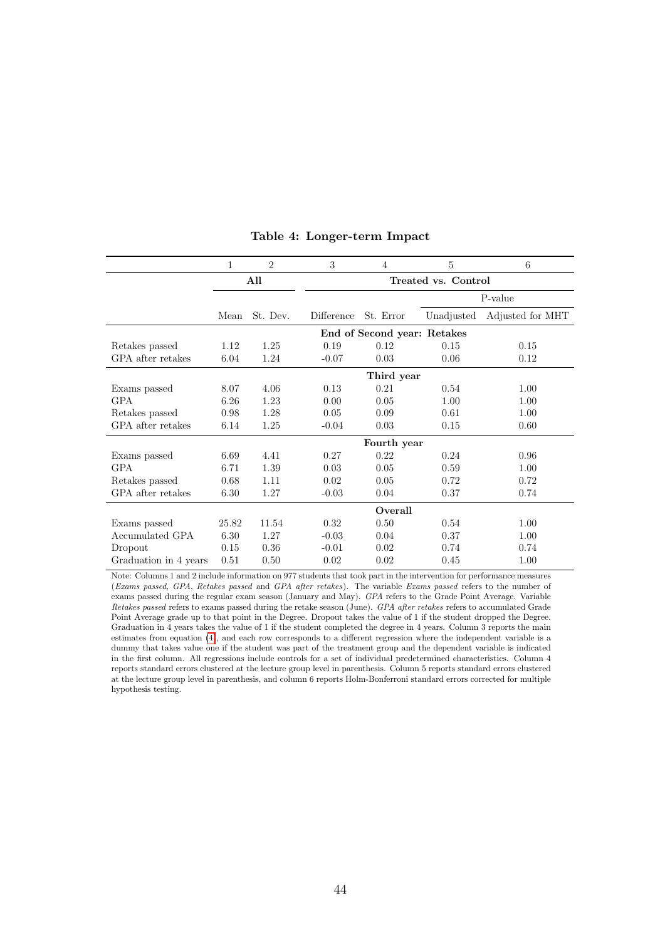<span id="page-43-0"></span>

|                       | $\mathbf{1}$                | $\overline{2}$ | $\sqrt{3}$ | 4           | 5                   | 6                |
|-----------------------|-----------------------------|----------------|------------|-------------|---------------------|------------------|
|                       |                             | All            |            |             | Treated vs. Control |                  |
|                       |                             |                |            | P-value     |                     |                  |
|                       | Mean                        | St. Dev.       | Difference | St. Error   | Unadjusted          | Adjusted for MHT |
|                       | End of Second year: Retakes |                |            |             |                     |                  |
| Retakes passed        | 1.12                        | 1.25           | 0.19       | 0.12        | 0.15                | 0.15             |
| GPA after retakes     | 6.04                        | 1.24           | $-0.07$    | 0.03        | 0.06                | 0.12             |
|                       |                             |                | Third year |             |                     |                  |
| Exams passed          | 8.07                        | 4.06           | 0.13       | 0.21        | 0.54                | 1.00             |
| GPA                   | 6.26                        | 1.23           | 0.00       | 0.05        | 1.00                | 1.00             |
| Retakes passed        | 0.98                        | 1.28           | 0.05       | 0.09        | 0.61                | 1.00             |
| GPA after retakes     | 6.14                        | 1.25           | $-0.04$    | 0.03        | 0.15                | 0.60             |
|                       |                             |                |            | Fourth year |                     |                  |
| Exams passed          | 6.69                        | 4.41           | 0.27       | 0.22        | 0.24                | 0.96             |
| <b>GPA</b>            | 6.71                        | 1.39           | 0.03       | 0.05        | 0.59                | 1.00             |
| Retakes passed        | 0.68                        | 1.11           | 0.02       | 0.05        | 0.72                | 0.72             |
| GPA after retakes     | 6.30                        | 1.27           | $-0.03$    | 0.04        | 0.37                | 0.74             |
|                       |                             |                |            | Overall     |                     |                  |
| Exams passed          | 25.82                       | 11.54          | 0.32       | 0.50        | 0.54                | 1.00             |
| Accumulated GPA       | 6.30                        | 1.27           | $-0.03$    | 0.04        | 0.37                | 1.00             |
| Dropout               | 0.15                        | 0.36           | $-0.01$    | 0.02        | 0.74                | 0.74             |
| Graduation in 4 years | 0.51                        | 0.50           | 0.02       | 0.02        | 0.45                | 1.00             |

#### Table 4: Longer-term Impact

Note: Columns 1 and 2 include information on 977 students that took part in the intervention for performance measures (Exams passed, GPA, Retakes passed and GPA after retakes). The variable Exams passed refers to the number of exams passed during the regular exam season (January and May). GPA refers to the Grade Point Average. Variable Retakes passed refers to exams passed during the retake season (June). GPA after retakes refers to accumulated Grade Point Average grade up to that point in the Degree. Dropout takes the value of 1 if the student dropped the Degree. Graduation in 4 years takes the value of 1 if the student completed the degree in 4 years. Column 3 reports the main estimates from equation [\(4\)](#page-20-0), and each row corresponds to a different regression where the independent variable is a dummy that takes value one if the student was part of the treatment group and the dependent variable is indicated in the first column. All regressions include controls for a set of individual predetermined characteristics. Column 4 reports standard errors clustered at the lecture group level in parenthesis. Column 5 reports standard errors clustered at the lecture group level in parenthesis, and column 6 reports Holm-Bonferroni standard errors corrected for multiple hypothesis testing.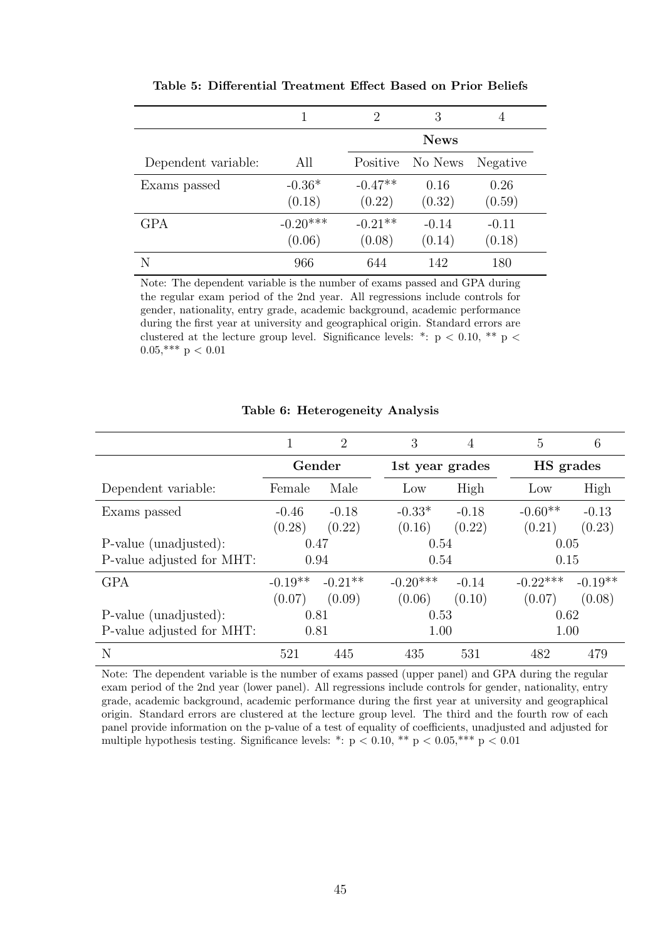<span id="page-44-0"></span>

|                     |                      | 2                   | 3                 | 4                 |
|---------------------|----------------------|---------------------|-------------------|-------------------|
|                     |                      |                     | <b>News</b>       |                   |
| Dependent variable: | All                  | Positive            | No News           | Negative          |
| Exams passed        | $-0.36*$<br>(0.18)   | $-0.47**$<br>(0.22) | 0.16<br>(0.32)    | 0.26<br>(0.59)    |
| GPA                 | $-0.20***$<br>(0.06) | $-0.21**$<br>(0.08) | $-0.14$<br>(0.14) | $-0.11$<br>(0.18) |
|                     | 966                  | 644                 | 142               | 180               |

Table 5: Differential Treatment Effect Based on Prior Beliefs

Note: The dependent variable is the number of exams passed and GPA during the regular exam period of the 2nd year. All regressions include controls for gender, nationality, entry grade, academic background, academic performance during the first year at university and geographical origin. Standard errors are clustered at the lecture group level. Significance levels: \*:  $p < 0.10$ , \*\*  $p <$  $0.05$ ,\*\*\* p < 0.01

<span id="page-44-1"></span>

|                           |           | $\overline{2}$ | 3          | 4               | 5          | 6         |  |
|---------------------------|-----------|----------------|------------|-----------------|------------|-----------|--|
|                           | Gender    |                |            | 1st year grades |            | HS grades |  |
| Dependent variable:       | Female    | Male           | Low        | High            | Low        | High      |  |
| Exams passed              | $-0.46$   | $-0.18$        | $-0.33*$   | $-0.18$         | $-0.60**$  | $-0.13$   |  |
|                           | (0.28)    | (0.22)         | (0.16)     | (0.22)          | (0.21)     | (0.23)    |  |
| P-value (unadjusted):     | 0.47      |                |            | 0.54            |            | 0.05      |  |
| P-value adjusted for MHT: | 0.94      |                | 0.54       |                 | 0.15       |           |  |
| <b>GPA</b>                | $-0.19**$ | $-0.21**$      | $-0.20***$ | $-0.14$         | $-0.22***$ | $-0.19**$ |  |
|                           | (0.07)    | (0.09)         | (0.06)     | (0.10)          | (0.07)     | (0.08)    |  |
| P-value (unadjusted):     | 0.81      |                | 0.53       |                 | 0.62       |           |  |
| P-value adjusted for MHT: | 0.81      |                | 1.00       |                 | 1.00       |           |  |
| N                         | 521       | 445            | 435        | 531             | 482        | 479       |  |

### Table 6: Heterogeneity Analysis

Note: The dependent variable is the number of exams passed (upper panel) and GPA during the regular exam period of the 2nd year (lower panel). All regressions include controls for gender, nationality, entry grade, academic background, academic performance during the first year at university and geographical origin. Standard errors are clustered at the lecture group level. The third and the fourth row of each panel provide information on the p-value of a test of equality of coefficients, unadjusted and adjusted for multiple hypothesis testing. Significance levels: \*:  $p < 0.10$ , \*\*  $p < 0.05$ , \*\*\*  $p < 0.01$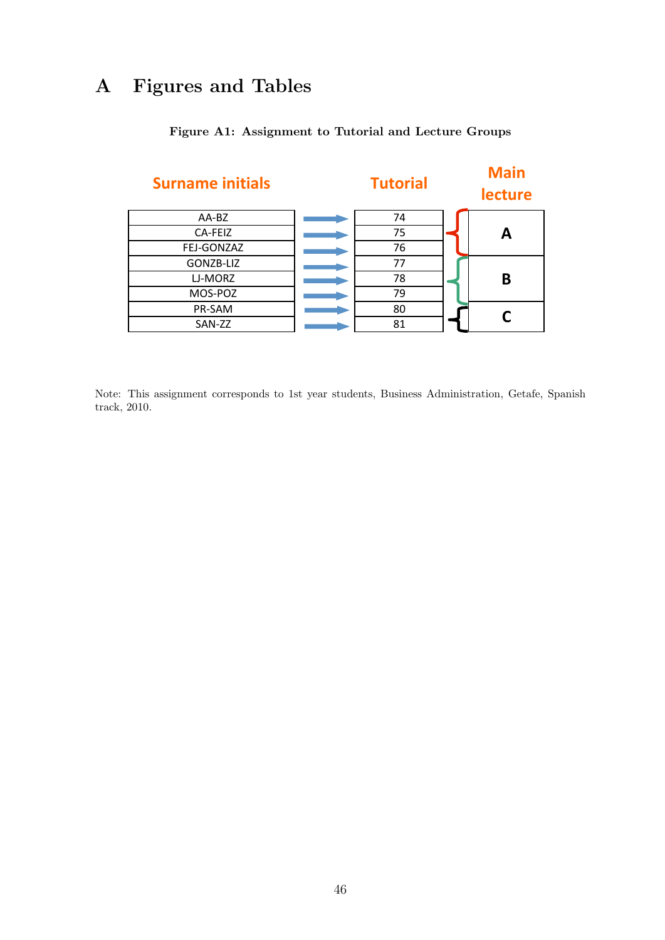# A Figures and Tables

<span id="page-45-0"></span>

## Figure A1: Assignment to Tutorial and Lecture Groups

Note: This assignment corresponds to 1st year students, Business Administration, Getafe, Spanish track, 2010.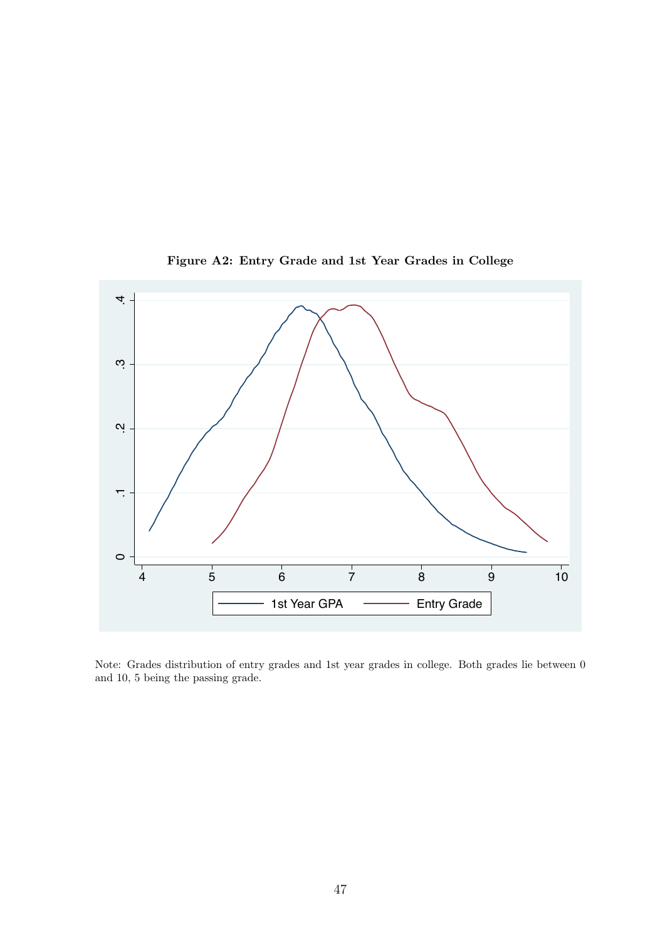<span id="page-46-0"></span>

Figure A2: Entry Grade and 1st Year Grades in College

Note: Grades distribution of entry grades and 1st year grades in college. Both grades lie between 0 and 10, 5 being the passing grade.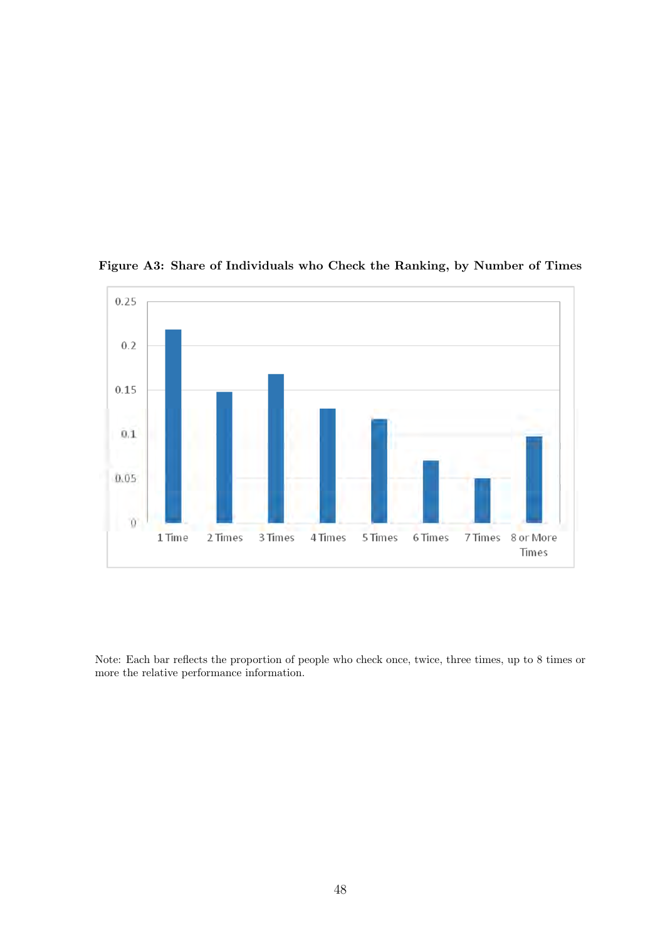<span id="page-47-0"></span>

Figure A3: Share of Individuals who Check the Ranking, by Number of Times

Note: Each bar reflects the proportion of people who check once, twice, three times, up to 8 times or more the relative performance information.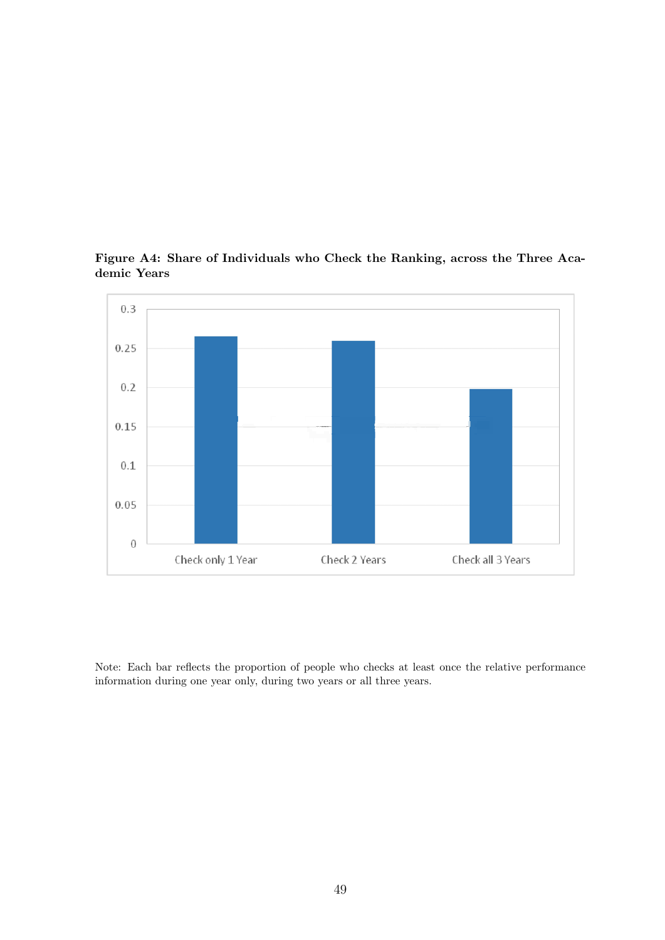<span id="page-48-0"></span>

Figure A4: Share of Individuals who Check the Ranking, across the Three Academic Years

Note: Each bar reflects the proportion of people who checks at least once the relative performance information during one year only, during two years or all three years.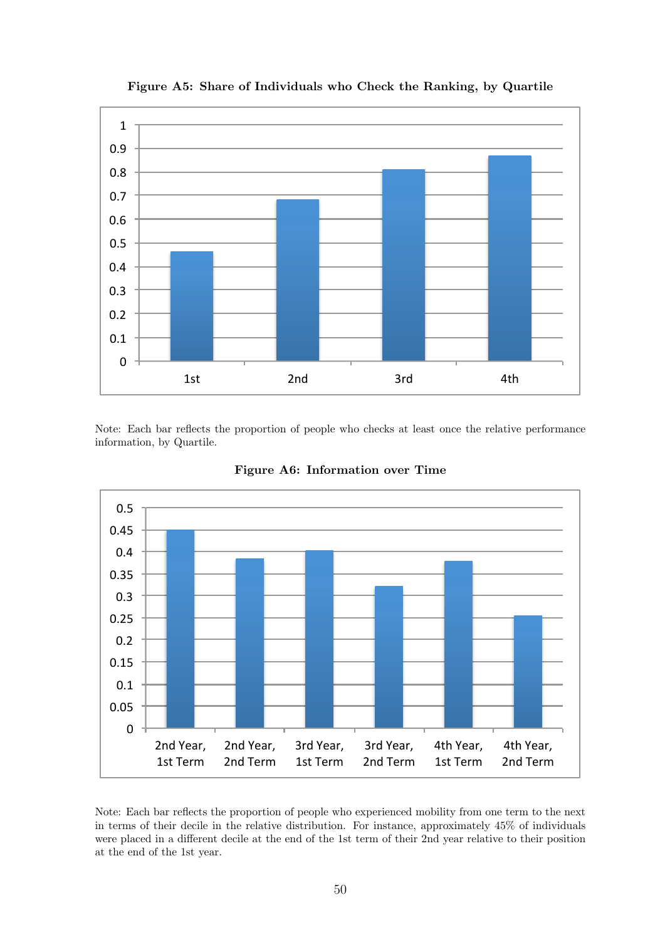<span id="page-49-0"></span>

Figure A5: Share of Individuals who Check the Ranking, by Quartile

Note: Each bar reflects the proportion of people who checks at least once the relative performance information, by Quartile.

<span id="page-49-1"></span>

Figure A6: Information over Time

Note: Each bar reflects the proportion of people who experienced mobility from one term to the next in terms of their decile in the relative distribution. For instance, approximately 45% of individuals were placed in a different decile at the end of the 1st term of their 2nd year relative to their position at the end of the 1st year.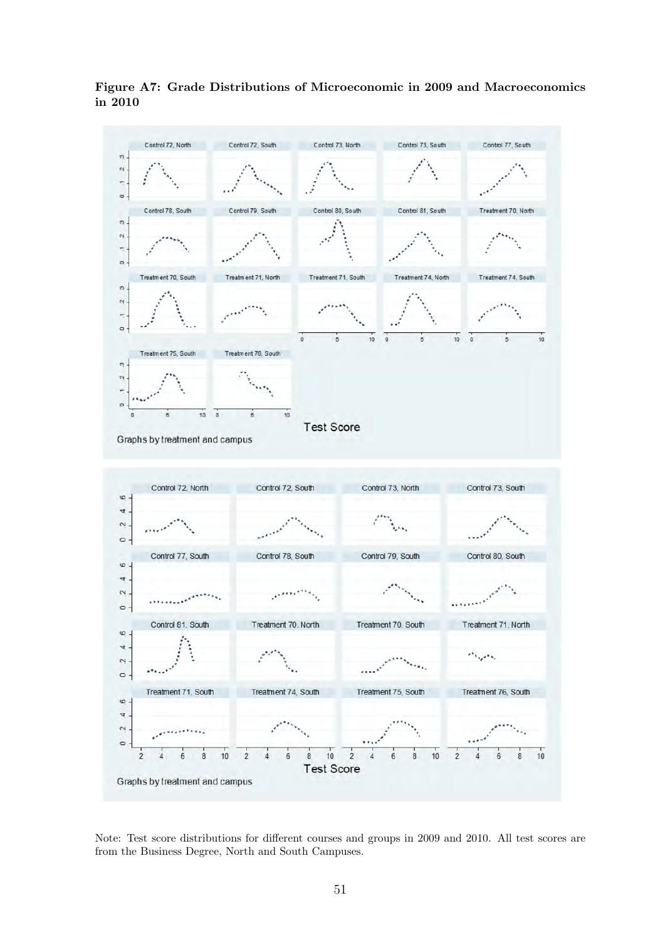<span id="page-50-0"></span>

Figure A7: Grade Distributions of Microeconomic in 2009 and Macroeconomics in 2010

Note: Test score distributions for different courses and groups in 2009 and 2010. All test scores are from the Business Degree, North and South Campuses.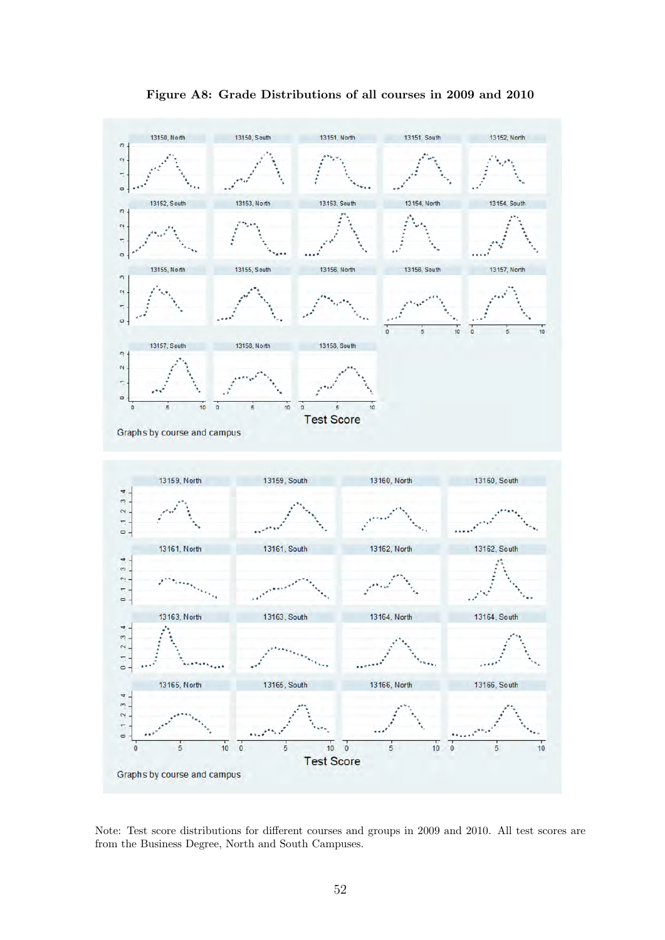<span id="page-51-0"></span>

Figure A8: Grade Distributions of all courses in 2009 and 2010

Note: Test score distributions for different courses and groups in 2009 and 2010. All test scores are from the Business Degree, North and South Campuses.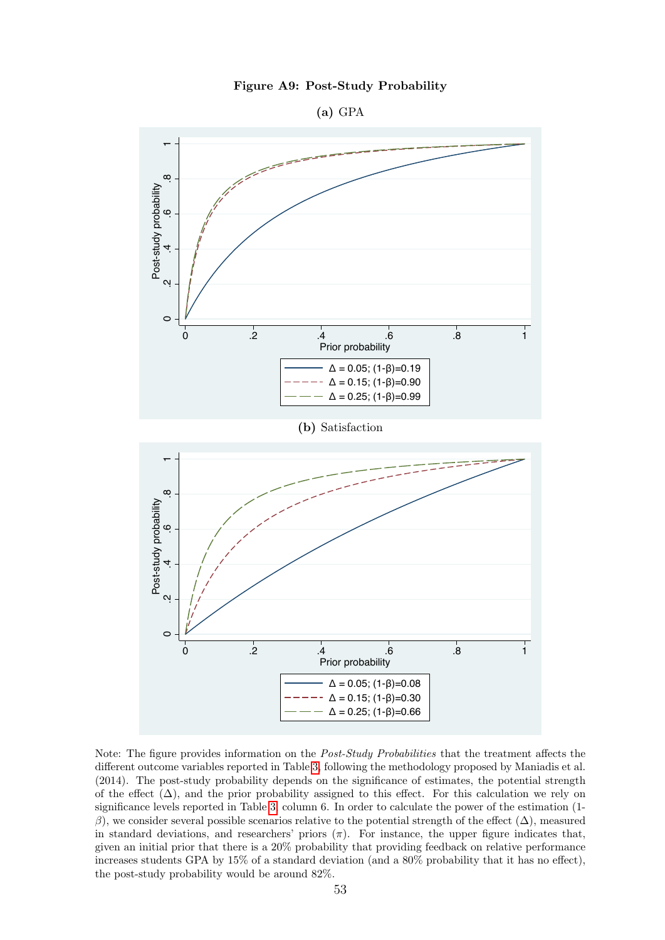

(a) GPA

<span id="page-52-0"></span>

Note: The figure provides information on the Post-Study Probabilities that the treatment affects the different outcome variables reported in Table [3,](#page-42-1) following the methodology proposed by Maniadis et al. (2014). The post-study probability depends on the significance of estimates, the potential strength of the effect  $(\Delta)$ , and the prior probability assigned to this effect. For this calculation we rely on significance levels reported in Table [3,](#page-42-1) column 6. In order to calculate the power of the estimation (1 β), we consider several possible scenarios relative to the potential strength of the effect ( $Δ$ ), measured in standard deviations, and researchers' priors  $(\pi)$ . For instance, the upper figure indicates that, given an initial prior that there is a 20% probability that providing feedback on relative performance increases students GPA by 15% of a standard deviation (and a 80% probability that it has no effect), the post-study probability would be around 82%.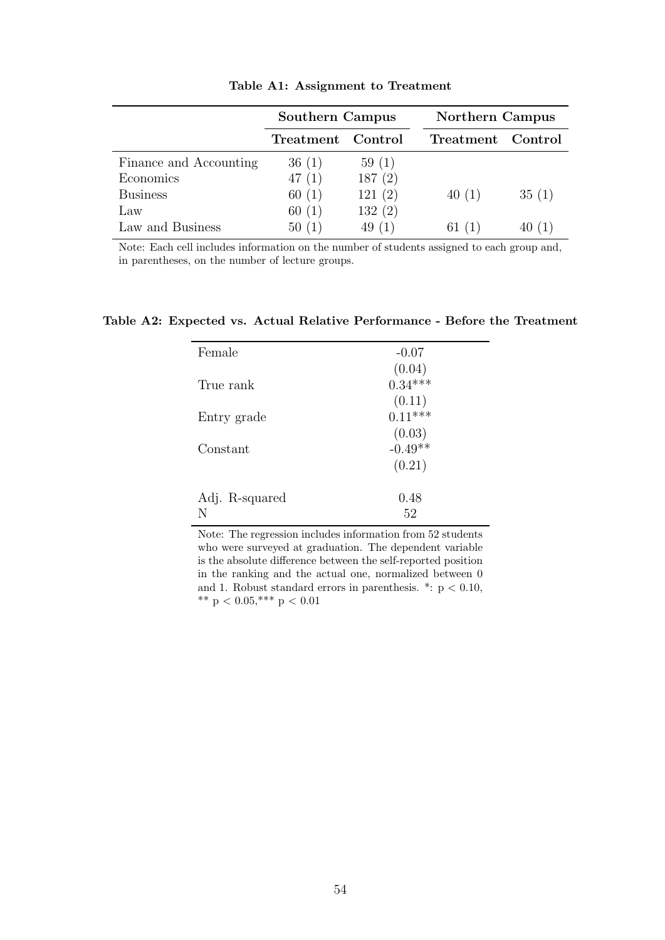<span id="page-53-0"></span>

|                        | Southern Campus   |        | Northern Campus |         |
|------------------------|-------------------|--------|-----------------|---------|
|                        | Treatment Control |        | Treatment       | Control |
| Finance and Accounting | 36(1)             | 59(1)  |                 |         |
| Economics              | 47(1)             | 187(2) |                 |         |
| <b>Business</b>        | 60(1)             | 121(2) | 40(1)           | 35(1)   |
| Law                    | 60(1)             | 132(2) |                 |         |
| Law and Business       | 50(1)             | 49(1)  | 61              |         |

Table A1: Assignment to Treatment

Note: Each cell includes information on the number of students assigned to each group and, in parentheses, on the number of lecture groups.

<span id="page-53-1"></span>Table A2: Expected vs. Actual Relative Performance - Before the Treatment

| Female         | $-0.07$                         |
|----------------|---------------------------------|
| True rank      | $(0.04)$<br>$0.34***$           |
|                | (0.11)                          |
| Entry grade    | $0.11***$                       |
| Constant       | $(0.03)$<br>-0.49 <sup>**</sup> |
|                | (0.21)                          |
| Adj. R-squared | 0.48                            |
| N              | 52                              |

Note: The regression includes information from 52 students who were surveyed at graduation. The dependent variable is the absolute difference between the self-reported position in the ranking and the actual one, normalized between 0 and 1. Robust standard errors in parenthesis.  $*$ :  $p < 0.10$ , \*\* p < 0.05,\*\*\* p < 0.01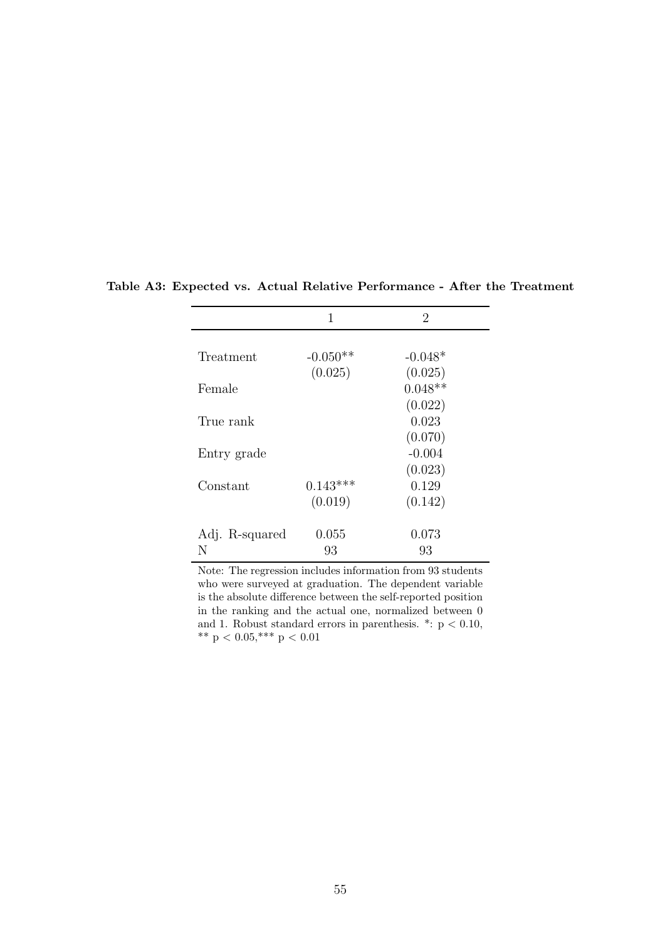|                | 1          | 2         |  |
|----------------|------------|-----------|--|
|                |            |           |  |
| Treatment      | $-0.050**$ | $-0.048*$ |  |
|                | (0.025)    | (0.025)   |  |
| Female         |            | $0.048**$ |  |
|                |            | (0.022)   |  |
| True rank      |            | 0.023     |  |
|                |            | (0.070)   |  |
| Entry grade    |            | $-0.004$  |  |
|                |            | (0.023)   |  |
| Constant       | $0.143***$ | 0.129     |  |
|                | (0.019)    | (0.142)   |  |
| Adj. R-squared | 0.055      | 0.073     |  |
| N              | 93         | 93        |  |

<span id="page-54-0"></span>Table A3: Expected vs. Actual Relative Performance - After the Treatment

Note: The regression includes information from 93 students who were surveyed at graduation. The dependent variable is the absolute difference between the self-reported position in the ranking and the actual one, normalized between 0 and 1. Robust standard errors in parenthesis. \*:  $p < 0.10$ ,  $^{**}$  p  $<$  0.05,  $^{***}$  p  $<$  0.01  $\,$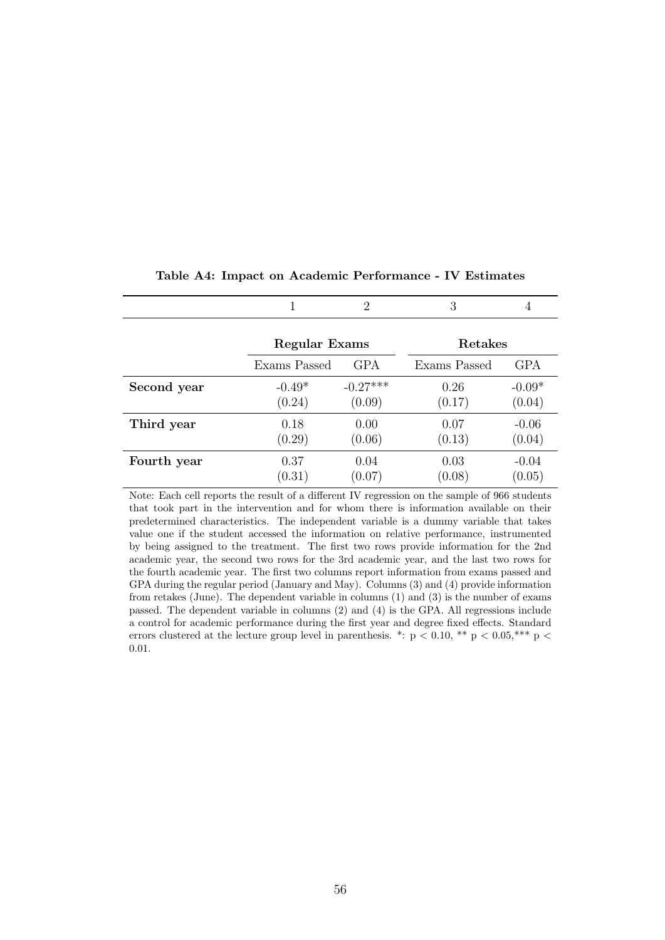<span id="page-55-0"></span>

|             |               | $\mathfrak{D}$ | 3            | 4        |
|-------------|---------------|----------------|--------------|----------|
|             | Regular Exams |                | Retakes      |          |
|             | Exams Passed  | <b>GPA</b>     | Exams Passed | GPA      |
| Second year | $-0.49*$      | $-0.27***$     | 0.26         | $-0.09*$ |
|             | (0.24)        | (0.09)         | (0.17)       | (0.04)   |
| Third year  | 0.18          | 0.00           | 0.07         | $-0.06$  |
|             | (0.29)        | (0.06)         | (0.13)       | (0.04)   |
| Fourth year | 0.37          | 0.04           | 0.03         | $-0.04$  |
|             | (0.31)        | (0.07)         | (0.08)       | (0.05)   |

#### Table A4: Impact on Academic Performance - IV Estimates

Note: Each cell reports the result of a different IV regression on the sample of 966 students that took part in the intervention and for whom there is information available on their predetermined characteristics. The independent variable is a dummy variable that takes value one if the student accessed the information on relative performance, instrumented by being assigned to the treatment. The first two rows provide information for the 2nd academic year, the second two rows for the 3rd academic year, and the last two rows for the fourth academic year. The first two columns report information from exams passed and GPA during the regular period (January and May). Columns (3) and (4) provide information from retakes (June). The dependent variable in columns (1) and (3) is the number of exams passed. The dependent variable in columns (2) and (4) is the GPA. All regressions include a control for academic performance during the first year and degree fixed effects. Standard errors clustered at the lecture group level in parenthesis. \*:  $p < 0.10$ , \*\*  $p < 0.05$ ,\*\*\*  $p <$ 0.01.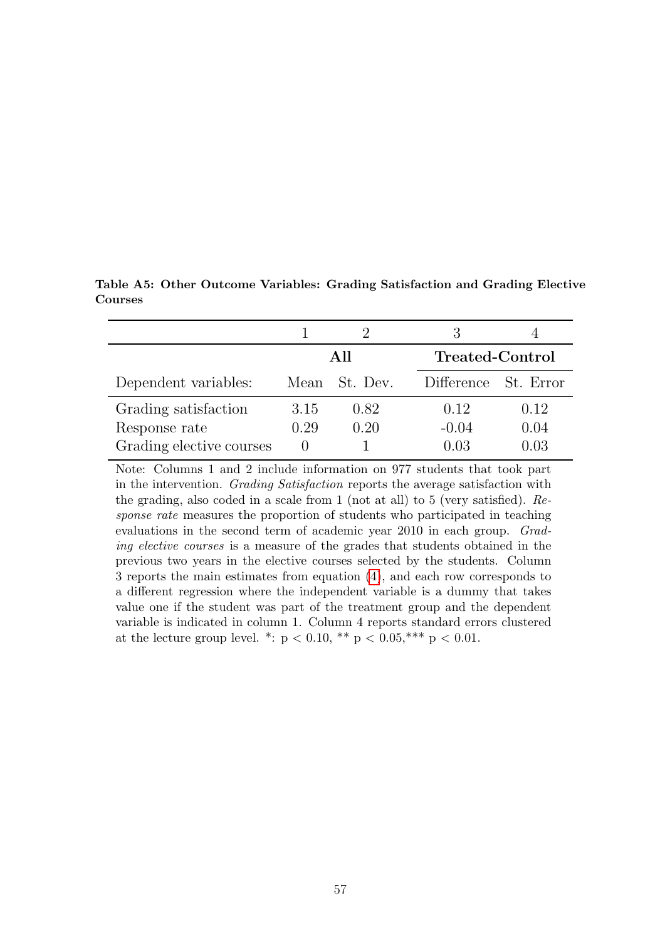<span id="page-56-0"></span>

|                          |      | All           | <b>Treated-Control</b> |      |
|--------------------------|------|---------------|------------------------|------|
| Dependent variables:     |      | Mean St. Dev. | Difference St. Error   |      |
| Grading satisfaction     | 3.15 | 0.82          | 0.12                   | 0.12 |
| Response rate            | 0.29 | 0.20          | $-0.04$                | 0.04 |
| Grading elective courses |      |               |                        |      |

Table A5: Other Outcome Variables: Grading Satisfaction and Grading Elective Courses

Note: Columns 1 and 2 include information on 977 students that took part in the intervention. Grading Satisfaction reports the average satisfaction with the grading, also coded in a scale from 1 (not at all) to 5 (very satisfied). Response rate measures the proportion of students who participated in teaching evaluations in the second term of academic year 2010 in each group. Grading elective courses is a measure of the grades that students obtained in the previous two years in the elective courses selected by the students. Column 3 reports the main estimates from equation [\(4\)](#page-20-0), and each row corresponds to a different regression where the independent variable is a dummy that takes value one if the student was part of the treatment group and the dependent variable is indicated in column 1. Column 4 reports standard errors clustered at the lecture group level. \*:  $p < 0.10$ , \*\*  $p < 0.05$ , \*\*\*  $p < 0.01$ .